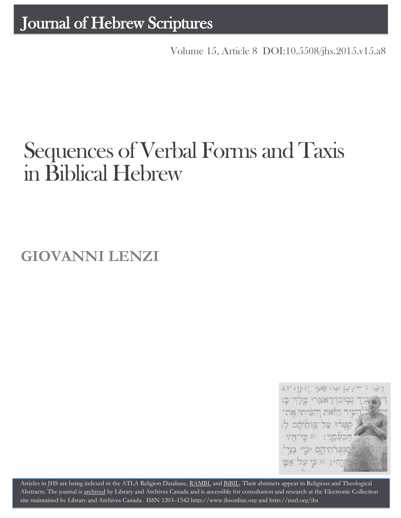Volume 15, Article 8 [DOI:10.5508/jhs.2015.v15.a8](http://dx.doi.org/10.5508/jhs.2015.v15.a8)

# Sequences of Verbal Forms and Taxis inBiblical Hebrew

**GIOVANNI LENZI**



Articles in JHS are being indexed in the ATLA Religion Database, [RAMBI,](http://jnul.huji.ac.il/rambi/) an[d BiBIL.](http://bibil.net/) Their abstracts appear in Religious and Theological Abstracts. The journal is [archived](http://epe.lac-bac.gc.ca/100/201/300/journal_hebrew/index.html) by Library and Archives Canada and is accessible for consultation and research at the Electronic Collection site maintained b[y Library and Archives Canada.](http://collectionscanada.ca/electroniccollection/003008-200-e.html) ISSN 1203–154[2 http://www.jhsonline.org](http://www.jhsonline.org/) and<http://purl.org/jhs>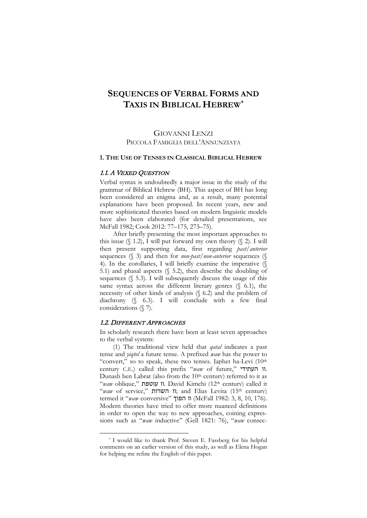# **SEQUENCES OF VERBAL FORMS AND TAXIS IN BIBLICAL HEBREW[\\*](#page-1-0)**

# GIOVANNI LENZI PICCOLA FAMIGLIA DELL'ANNUNZIATA

#### **1. THE USE OF TENSES IN CLASSICAL BIBLICAL HEBREW**

#### 1.1. A VEXED QUESTION

Verbal syntax is undoubtedly a major issue in the study of the grammar of Biblical Hebrew (BH). This aspect of BH has long been considered an enigma and, as a result, many potential explanations have been proposed. In recent years, new and more sophisticated theories based on modern linguistic models have also been elaborated (for detailed presentations, see McFall 1982; Cook 2012: 77–175, 273–75).

After briefly presenting the most important approaches to this issue  $(\S 1.2)$ , I will put forward my own theory  $(\S 2)$ . I will then present supporting data, first regarding *past/anterior*  sequences (§ 3) and then for *non-past/non-anterior* sequences (§ 4). In the corollaries, I will briefly examine the imperative (§ 5.1) and phasal aspects (§ 5.2), then describe the doubling of sequences (§ 5.3). I will subsequently discuss the usage of this same syntax across the different literary genres  $(\S$  6.1), the necessity of other kinds of analysis (§ 6.2) and the problem of diachrony (§ 6.3). I will conclude with a few final considerations (§ 7).

#### 1.2. DIFFERENT APPROACHES

 $\overline{\phantom{a}}$ 

In scholarly research there have been at least seven approaches to the verbal system:

(1) The traditional view held that *qatal* indicates a past tense and *yiqtol* a future tense. A prefixed *waw* has the power to "convert," so to speak, these two tenses. Japhet ha-Levi (10<sup>th</sup>) century C.E.) called this prefix "*waw* of future," העתידי וו. Dunash ben Labrat (also from the 10<sup>th</sup> century) referred to it as "*waw* oblique," עוטפת וו. David Kimchi (12th century) called it "waw of service," השרות וו, and Elias Levita (15<sup>th</sup> century) termed it "*waw* conversive" הפוך וו) McFall 1982: 3, 8, 10, 176). Modern theories have tried to offer more nuanced definitions in order to open the way to new approaches, coining expressions such as "*waw* inductive" (Gell 1821: 76), "*waw* consec-

<span id="page-1-0"></span><sup>\*</sup> I would like to thank Prof. Steven E. Fassberg for his helpful comments on an earlier version of this study, as well as Elena Hogan for helping me refine the English of this paper.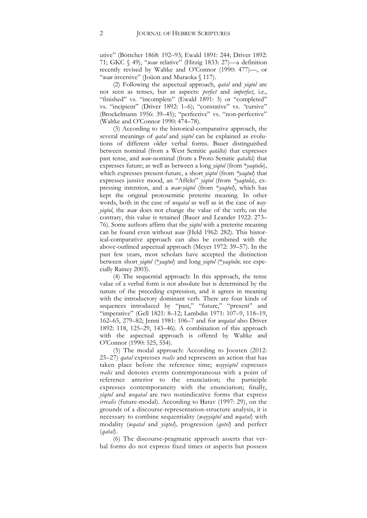utive" (Böttcher 1868: 192–93; Ewald 1891: 244; Driver 1892: 71; GKC § 49), "*waw* relative" (Hitzig 1833: 27)—a definition recently revised by Waltke and O'Connor (1990: 477)—, or "*waw* inversive" (Joüon and Muraoka § 117).

(2) Following the aspectual approach, *qatal* and *yiqtol* are not seen as tenses, but as aspects: *perfect* and *imperfect*, i.e., "finished" vs. "incomplete" (Ewald 1891: 3) or "completed" vs. "incipient" (Driver 1892: 1–6); "constative" vs. *"*cursive" (Brockelmann 1956: 39-45); "perfective" vs. "non-perfective" (Waltke and O'Connor 1990: 474–78).

(3) According to the historical-comparative approach, the several meanings of *qatal* and *yiqtol* can be explained as evolutions of different older verbal forms. Bauer distinguished between nominal (from a West Semitic *qatálta*) that expresses past tense, and *waw*-nominal (from a Proto Semitic *qataltá*) that expresses future; as well as between a long *yiqtol* (from \**yaqtulu*), which expresses present-future, a short *yiqtol* (from *\*yaqtul*) that expresses jussive mood, an "Affekt" *yiqtol* (from *\*yaqtula*), expressing intention, and a *waw-yiqtol* (from \**yaqtul*), which has kept the original protosemitic preterite meaning*.* In other words, both in the case of *weqatal* as well as in the case of *wayyiqtol*, the *waw* does not change the value of the verb; on the contrary, this value is retained (Bauer and Leander 1922: 273– 76). Some authors affirm that the *yiqtol* with a preterite meaning can be found even without *waw* (Held 1962: 282). This historical-comparative approach can also be combined with the above-outlined aspectual approach (Meyer 1972: 39–57). In the past few years, most scholars have accepted the distinction between short *yiqtol* (\**yaqtul*) and long *yiqtol* (\**yaqtulu*; see especially Rainey 2003).

(4) The sequential approach: In this approach, the tense value of a verbal form is not absolute but is determined by the nature of the preceding expression, and it agrees in meaning with the introductory dominant verb. There are four kinds of sequences introduced by "past," "future," "present" and "imperative" (Gell 1821: 8–12; Lambdin 1971: 107–9, 118–19, 162–65, 279–82; Jenni 1981: 106–7 and for *weqatal* also Driver 1892: 118, 125–29, 143–46). A combination of this approach with the aspectual approach is offered by Waltke and O'Connor (1990: 525, 554).

(5) The modal approach: According to Joosten (2012: 25–27) *qatal* expresses *realis* and represents an action that has taken place before the reference time; *wayyiqtol* expresses *realis* and denotes events contemporaneous with a point of reference anterior to the enunciation; the participle expresses contemporaneity with the enunciation; finally, *yiqtol* and *weqatal* are two nonindicative forms that express *irrealis* (future-modal). According to Hatav (1997: 29), on the grounds of a discourse-representation-structure analysis, it is necessary to combine sequentiality (*wayyiqtol* and *wqatal*) with modality (*wqatal* and *yiqtol*)*,* progression (*qotel*) and perfect (*qatal*).

(6) The discourse-pragmatic approach asserts that verbal forms do not express fixed times or aspects but possess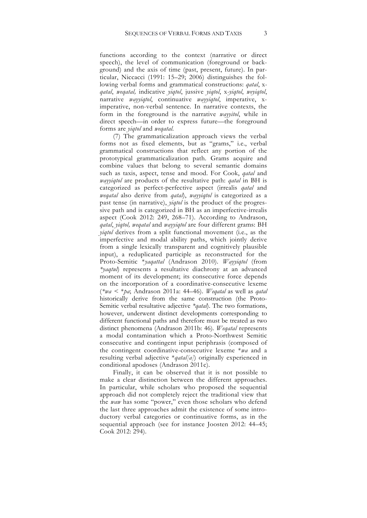functions according to the context (narrative or direct speech), the level of communication (foreground or background) and the axis of time (past, present, future). In particular, Niccacci (1991: 15–29; 2006) distinguishes the following verbal forms and grammatical constructions: *qatal*, x*qatal*, *weqatal,* indicative *yiqtol*, jussive *yiqtol*, x*-yiqtol*, *weyiqtol*, narrative *wayyiqtol*, continuative *wayyiqtol*, imperative, ximperative, non-verbal sentence. In narrative contexts, the form in the foreground is the narrative *wayyitol*, while in direct speech—in order to express future—the foreground forms are *yiqtol* and *weqatal.*

(7) The grammaticalization approach views the verbal forms not as fixed elements, but as "grams," i.e., verbal grammatical constructions that reflect any portion of the prototypical grammaticalization path. Grams acquire and combine values that belong to several semantic domains such as taxis, aspect, tense and mood. For Cook, *qatal* and *wayyiqtol* are products of the resultative path: *qatal* in BH is categorized as perfect-perfective aspect (irrealis *qatal* and *weqatal* also derive from *qatal*), *wayyiqtol* is categorized as a past tense (in narrative), *yiqtol* is the product of the progressive path and is categorized in BH as an imperfective-irrealis aspect (Cook 2012: 249, 268–71). According to Andrason, *qatal*, *yiqtol, weqatal* and *wayyiqtol* are four different grams: BH *yiqtol* derives from a split functional movement (i.e., as the imperfective and modal ability paths, which jointly derive from a single lexically transparent and cognitively plausible input), a reduplicated participle as reconstructed for the Proto-Semitic \**yaqattal* (Andrason 2010). *Wayyiqtol* (from *\*yaqtul*) represents a resultative diachrony at an advanced moment of its development; its consecutive force depends on the incorporation of a coordinative-consecutive lexeme (*\*wa <* \**pa*; Andrason 2011a: 44–46). *Weqatal* as well as *qatal*  historically derive from the same construction (the Proto-Semitic verbal resultative adjective *\*qatal*). The two formations, however, underwent distinct developments corresponding to different functional paths and therefore must be treated as two distinct phenomena (Andrason 2011b: 46). *Weqatal* represents a modal contamination which a Proto-Northwest Semitic consecutive and contingent input periphrasis (composed of the contingent coordinative-consecutive lexeme \**wa* and a resulting verbal adjective \**qatal[a]*) originally experienced in conditional apodoses (Andrason 2011c).

Finally, it can be observed that it is not possible to make a clear distinction between the different approaches. In particular, while scholars who proposed the sequential approach did not completely reject the traditional view that the *waw* has some "power," even those scholars who defend the last three approaches admit the existence of some introductory verbal categories or continuative forms, as in the sequential approach (see for instance Joosten 2012: 44–45; Cook 2012: 294).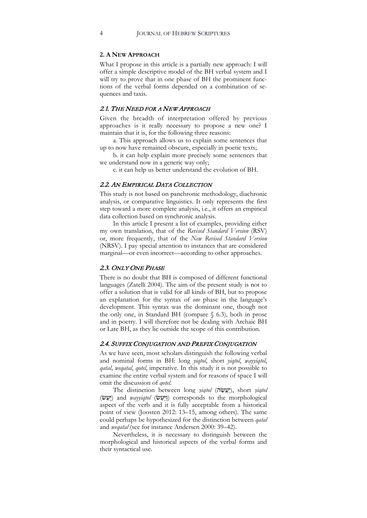#### **2. A NEW APPROACH**

What I propose in this article is a partially new approach: I will offer a simple descriptive model of the BH verbal system and I will try to prove that in one phase of BH the prominent functions of the verbal forms depended on a combination of sequences and taxis*.*

#### 2.1. THE NEED FOR A NEW APPROACH

Given the breadth of interpretation offered by previous approaches is it really necessary to propose a new one? I maintain that it is, for the following three reasons:

a. This approach allows us to explain some sentences that up to now have remained obscure, especially in poetic texts;

b. it can help explain more precisely some sentences that we understand now in a generic way only;

c. it can help us better understand the evolution of BH.

#### 2.2. AN EMPIRICAL DATA COLLECTION

This study is not based on panchronic methodology, diachronic analysis, or comparative linguistics. It only represents the first step toward a more complete analysis, i.e., it offers an empirical data collection based on synchronic analysis.

In this article I present a list of examples, providing either my own translation, that of the *Revised Standard Version* (RSV) or, more frequently, that of the *New Revised Standard Version*  (NRSV). I pay special attention to instances that are considered marginal—or even incorrect—according to other approaches.

# 2.3. ONLY ONE PHASE

There is no doubt that BH is composed of different functional languages (Zatelli 2004). The aim of the present study is not to offer a solution that is valid for all kinds of BH, but to propose an explanation for the syntax of *one* phase in the language's development. This syntax was the dominant one, though not the only one, in Standard BH (compare § 6.3), both in prose and in poetry. I will therefore not be dealing with Archaic BH or Late BH, as they lie outside the scope of this contribution.

#### 2.4. SUFFIX CONJUGATION AND PREFIX CONJUGATION

As we have seen, most scholars distinguish the following verbal and nominal forms in BH: long *yiqtol*, short *yiqtol*, *wayyiqtol*, *qatal*, *weqatal*, *qotel*, imperative. In this study it is not possible to examine the entire verbal system and for reasons of space I will omit the discussion of *qotel*.

The distinction between long *yiqtol* (יעשׂה), short *yiqtol*  morphological the to corresponds) וַ יַּעַ שׂ) *wayyiqtol* and) יַעַ שׂ) aspect of the verb and it is fully acceptable from a historical point of view (Joosten 2012: 13–15, among others). The same could perhaps be hypothesized for the distinction between *qatal* and *weqatal* (see for instance Andersen 2000: 39–42).

Nevertheless, it is necessary to distinguish between the morphological and historical aspects of the verbal forms and their syntactical use.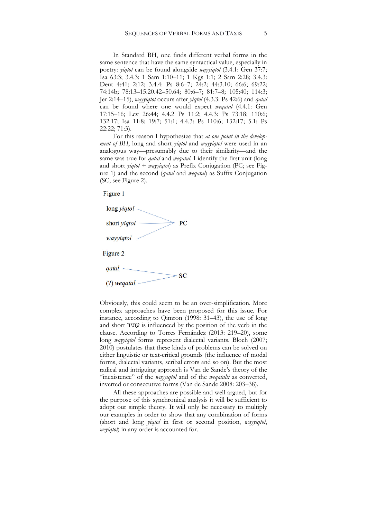In Standard BH, one finds different verbal forms in the same sentence that have the same syntactical value, especially in poetry: *yiqtol* can be found alongside *wayyiqtol* (3.4.1: Gen 37:7; Isa 63:3; 3.4.3: 1 Sam 1:10–11; 1 Kgs 1:1; 2 Sam 2:28; 3.4.3: Deut 4:41; 2:12; 3.4.4: Ps 8:6–7; 24:2; 44:3.10; 66:6; 69:22; 74:14b; 78:13–15.20.42–50.64; 80:6–7; 81:7–8; 105:40; 114:3; Jer 2:14–15), *wayyiqtol* occurs after *yiqtol* (4.3.3: Ps 42:6) and *qatal*  can be found where one would expect *weqatal* (4.4.1: Gen 17:15–16; Lev 26:44; 4.4.2 Ps 11:2; 4.4.3: Ps 73:18; 110:6; 132:17; Isa 11:8; 19:7; 51:1; 4.4.3: Ps 110:6; 132:17; 5.1: Ps 22:22; 71:3).

For this reason I hypothesize that *at one point in the development of BH*, long and short *yiqtol* and *wayyiqtol* were used in an analogous way—presumably due to their similarity—and the same was true for *qatal* and *weqatal*. I identify the first unit (long and short *yiqtol + wayyiqtol*) as Prefix Conjugation (PC; see Figure 1) and the second (*qatal* and *weqatal*) as Suffix Conjugation (SC; see Figure 2).

Figure 1



Obviously, this could seem to be an over-simplification. More complex approaches have been proposed for this issue. For instance, according to Qimron (1998: 31–43), the use of long and short עתיד is influenced by the position of the verb in the clause. According to Torres Fernández (2013: 219–20), some long *wayyiqtol* forms represent dialectal variants. Bloch (2007; 2010) postulates that these kinds of problems can be solved on either linguistic or text-critical grounds (the influence of modal forms, dialectal variants, scribal errors and so on). But the most radical and intriguing approach is Van de Sande's theory of the "inexistence" of the *wayyiqtol* and of the *weqatalti* as converted, inverted or consecutive forms (Van de Sande 2008: 203–38).

All these approaches are possible and well argued, but for the purpose of this synchronical analysis it will be sufficient to adopt our simple theory. It will only be necessary to multiply our examples in order to show that any combination of forms (short and long *yiqtol* in first or second position, *wayyiqtol*, *weyiqtol*) in any order is accounted for.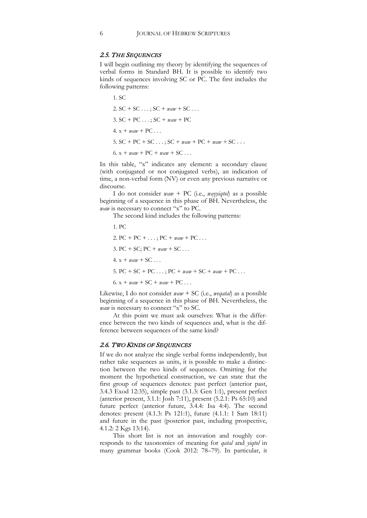#### 2.5. THE SEQUENCES

I will begin outlining my theory by identifying the sequences of verbal forms in Standard BH. It is possible to identify two kinds of sequences involving SC or PC. The first includes the following patterns:

1. SC 2.  $SC + SC \ldots$ ;  $SC + \textit{waw} + SC \ldots$ 3. SC + PC . . . ; SC + *waw* + PC 4.  $x + waw + PC$ ... 5.  $SC + PC + SC \ldots$ ;  $SC + \textit{waw} + PC + \textit{waw} + SC \ldots$ 6.  $x + \textit{waw} + \textit{PC} + \textit{waw} + \textit{SC} \dots$ 

In this table, "x" indicates any element: a secondary clause (with conjugated or not conjugated verbs), an indication of time, a non-verbal form (NV) or even any previous narrative or discourse.

I do not consider *waw* + PC (i.e., *wayyiqtol*) as a possible beginning of a sequence in this phase of BH. Nevertheless, the *waw* is necessary to connect "x" to PC.

The second kind includes the following patterns:

- 1. PC
- 2.  $PC + PC + ...$ ;  $PC + *waw* + PC...$
- 3. PC + SC;  $PC +$  *waw* + SC . . .
- $4. x + \textit{waw} + \text{SC} \ldots$
- 5. PC + SC + PC . . . ; PC + *waw* + SC + *waw +* PC . . .
- 6.  $x + waw + SC + waw + PC...$

Likewise, I do not consider *waw* + SC (i.e., *weqatal*) as a possible beginning of a sequence in this phase of BH. Nevertheless, the *waw* is necessary to connect "x" to SC.

At this point we must ask ourselves: What is the difference between the two kinds of sequences and, what is the difference between sequences of the same kind?

#### 2.6. TWO KINDS OF SEQUENCES

If we do not analyze the single verbal forms independently, but rather take sequences as units, it is possible to make a distinction between the two kinds of sequences. Omitting for the moment the hypothetical construction, we can state that the first group of sequences denotes: past perfect (anterior past, 3.4.3 Exod 12:35), simple past (3.1.3: Gen 1:1), present perfect (anterior present, 3.1.1: Josh 7:11), present (5.2.1: Ps 65:10) and future perfect (anterior future, 3.4.4: Isa 4:4). The second denotes: present (4.1.3: Ps 121:1), future (4.1.1: 1 Sam 18:11) and future in the past (posterior past, including prospective, 4.1.2: 2 Kgs 13:14).

This short list is not an innovation and roughly corresponds to the taxonomies of meaning for *qatal* and *yiqtol* in many grammar books (Cook 2012: 78–79). In particular, it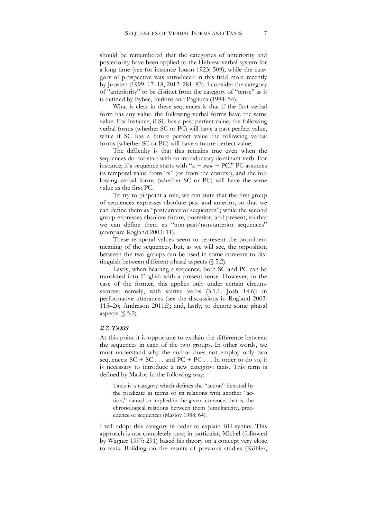should be remembered that the categories of anteriority and posteriority have been applied to the Hebrew verbal system for a long time (see for instance Joüon 1923: 509); while the category of prospective was introduced in this field more recently by Joosten (1999: 17–18; 2012: 281–83). I consider the category of "anteriority" to be distinct from the category of "tense" as it is defined by Bybee, Perkins and Pagliuca (1994: 54).

What is clear in these sequences is that if the first verbal form has any value, the following verbal forms have the same value. For instance, if SC has a past perfect value, the following verbal forms (whether SC or PC) will have a past perfect value, while if SC has a future perfect value the following verbal forms (whether SC or PC) will have a future perfect value.

The difficulty is that this remains true even when the sequences do not start with an introductory dominant verb. For instance, if a sequence starts with "x + *waw* + PC," PC assumes its temporal value from "x" (or from the context), and the following verbal forms (whether SC or PC) will have the same value as the first PC.

To try to pinpoint a rule, we can state that the first group of sequences expresses absolute past and anterior, so that we can define them as "past/anterior sequences"; while the second group expresses absolute future, posterior, and present, so that we can define them as "non-past/non-anterior sequences" (compare Rogland 2003: 11).

These temporal values seem to represent the prominent meaning of the sequences, but, as we will see, the opposition between the two groups can be used in some contexts to distinguish between different phasal aspects (§ 5.2).

Lastly, when heading a sequence, both SC and PC can be translated into English with a present tense. However, in the case of the former, this applies only under certain circumstances: namely, with stative verbs (3.1.1: Josh 14:6); in performative utterances (see the discussions in Rogland 2003: 115–26; Andrason 2011d); and, lastly, to denote some phasal aspects  $(\S 5.2)$ .

## 2.7. TAXIS

At this point it is opportune to explain the difference between the sequences in each of the two groups. In other words, we must understand why the author does not employ only two sequences:  $SC + SC \dots$  and  $PC + PC \dots$  In order to do so, it is necessary to introduce a new category: taxis. This term is defined by Maslov in the following way:

Taxis is a category which defines the "action" denoted by the predicate in terms of its relations with another "action," named or implied in the given utterance, that is, the chronological relations between them (simultaneity, precedence or sequence) (Maslov 1988: 64).

I will adopt this category in order to explain BH syntax. This approach is not completely new; in particular, Michel (followed by Wagner 1997: 291) based his theory on a concept very close to taxis. Building on the results of previous studies (Köhler,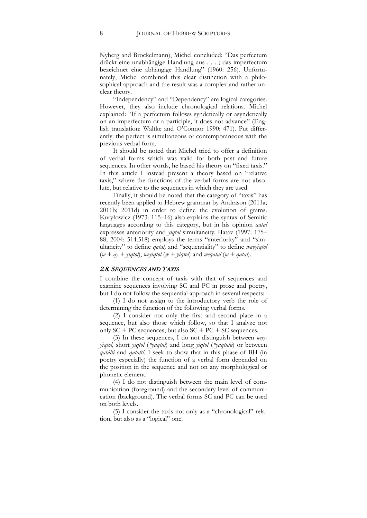Nyberg and Brockelmann), Michel concluded: "Das perfectum drückt eine unabhängige Handlung aus . . . ; das imperfectum bezeichnet eine abhängige Handlung" (1960: 256). Unfortunately, Michel combined this clear distinction with a philosophical approach and the result was a complex and rather unclear theory.

"Independency" and "Dependency" are logical categories. However, they also include chronological relations. Michel explained: "If a perfectum follows syndetically or asyndetically on an imperfectum or a participle, it does not advance" (English translation: Waltke and O'Connor 1990: 471). Put differently: the perfect is simultaneous or contemporaneous with the previous verbal form.

It should be noted that Michel tried to offer a definition of verbal forms which was valid for both past and future sequences. In other words, he based his theory on "fixed taxis." In this article I instead present a theory based on "relative taxis," where the functions of the verbal forms are not absolute, but relative to the sequences in which they are used.

Finally, it should be noted that the category of "taxis" has recently been applied to Hebrew grammar by Andrason (2011a; 2011b; 2011d) in order to define the evolution of grams. Kuryłowicz (1973: 115–16) also explains the syntax of Semitic languages according to this category, but in his opinion *qatal* expresses anteriority and *yiqtol* simultaneity. Ḥatav (1997: 175– 88; 2004: 514.518) employs the terms "anteriority" and "simultaneity" to define *qatal,* and "sequentiality" to define *wayyiqtol*   $(w + ay + \text{yield}),$  *weyiqtol*  $(w + \text{yield})$  and *wegatal*  $(w + \text{qatal}).$ 

#### 2.8. SEQUENCES AND TAXIS

I combine the concept of taxis with that of sequences and examine sequences involving SC and PC in prose and poetry, but I do not follow the sequential approach in several respects:

(1) I do not assign to the introductory verb the role of determining the function of the following verbal forms.

(2) I consider not only the first and second place in a sequence, but also those which follow, so that I analyze not only  $SC + PC$  sequences, but also  $SC + PC + SC$  sequences.

(3) In these sequences, I do not distinguish between *wayyiqtol,* short *yiqtol* (*\*yaqtul*) and long *yiqtol* (*\*yaqtulu*) or between *qatálti* and *qataltí*. I seek to show that in this phase of BH (in poetry especially) the function of a verbal form depended on the position in the sequence and not on any morphological or phonetic element.

(4) I do not distinguish between the main level of communication (foreground) and the secondary level of communication (background). The verbal forms SC and PC can be used on both levels.

(5) I consider the taxis not only as a "chronological" relation, but also as a "logical" one.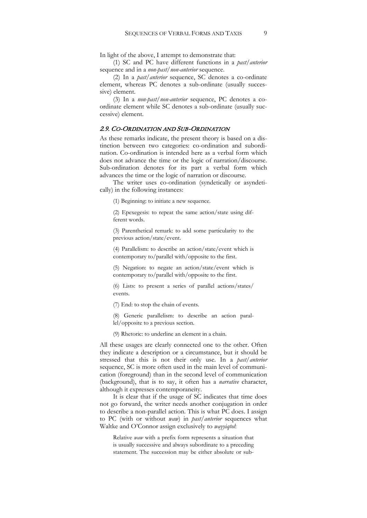In light of the above, I attempt to demonstrate that:

(1) SC and PC have different functions in a *past/anterior* sequence and in a *non-past/non-anterior* sequence.

(2) In a *past/anterior* sequence, SC denotes a co-ordinate element, whereas PC denotes a sub-ordinate (usually successive) element.

(3) In a *non-past/non-anterior* sequence, PC denotes a coordinate element while SC denotes a sub-ordinate (usually successive) element.

#### 2.9. CO-ORDINATION AND SUB-ORDINATION

As these remarks indicate, the present theory is based on a distinction between two categories: co-ordination and subordination. Co-ordination is intended here as a verbal form which does not advance the time or the logic of narration/discourse. Sub-ordination denotes for its part a verbal form which advances the time or the logic of narration or discourse.

The writer uses co-ordination (syndetically or asyndetically) in the following instances:

(1) Beginning: to initiate a new sequence.

(2) Epexegesis: to repeat the same action/state using different words.

(3) Parenthetical remark: to add some particularity to the previous action/state/event.

(4) Parallelism: to describe an action/state/event which is contemporary to/parallel with/opposite to the first.

(5) Negation: to negate an action/state/event which is contemporary to/parallel with/opposite to the first.

(6) Lists: to present a series of parallel actions/states/ events.

(7) End: to stop the chain of events.

(8) Generic parallelism: to describe an action parallel/opposite to a previous section.

(9) Rhetoric: to underline an element in a chain.

All these usages are clearly connected one to the other. Often they indicate a description or a circumstance, but it should be stressed that this is not their only use. In a *past/anterior*  sequence, SC is more often used in the main level of communication (foreground) than in the second level of communication (background), that is to say, it often has a *narrative* character, although it expresses contemporaneity.

It is clear that if the usage of SC indicates that time does not go forward, the writer needs another conjugation in order to describe a non-parallel action. This is what PC does. I assign to PC (with or without *waw*) in *past/anterior* sequences what Waltke and O'Connor assign exclusively to *wayyiqtol*:

Relative *waw* with a prefix form represents a situation that is usually successive and always subordinate to a preceding statement. The succession may be either absolute or sub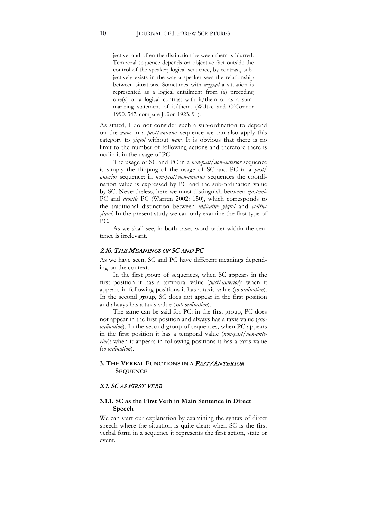jective, and often the distinction between them is blurred. Temporal sequence depends on objective fact outside the control of the speaker; logical sequence, by contrast, subjectively exists in the way a speaker sees the relationship between situations. Sometimes with *wayyqtl* a situation is represented as a logical entailment from (a) preceding one(s) or a logical contrast with it/them or as a summarizing statement of it/them. (Waltke and O'Connor 1990: 547; compare Joüon 1923: 91).

As stated, I do not consider such a sub-ordination to depend on the *waw*: in a *past/anterior* sequence we can also apply this category to *yiqtol* without *waw*. It is obvious that there is no limit to the number of following actions and therefore there is no limit in the usage of PC.

The usage of SC and PC in a *non-past/non-anterior* sequence is simply the flipping of the usage of SC and PC in a *past/ anterior* sequence: in *non-past/non-anterior* sequences the coordination value is expressed by PC and the sub-ordination value by SC. Nevertheless, here we must distinguish between *epistemic* PC and *deontic* PC (Warren 2002: 150), which corresponds to the traditional distinction between *indicative yiqtol* and *volitive yiqtol*. In the present study we can only examine the first type of PC.

As we shall see, in both cases word order within the sentence is irrelevant.

#### 2.10. THE MEANINGS OF SC AND PC

As we have seen, SC and PC have different meanings depending on the context.

In the first group of sequences, when SC appears in the first position it has a temporal value (*past/anterior*); when it appears in following positions it has a taxis value (*co-ordination*). In the second group, SC does not appear in the first position and always has a taxis value (*sub-ordination*).

The same can be said for PC: in the first group, PC does not appear in the first position and always has a taxis value (*subordination*). In the second group of sequences, when PC appears in the first position it has a temporal value (*non-past/non-anterior*); when it appears in following positions it has a taxis value (*co-ordination*).

#### **3. THE VERBAL FUNCTIONS IN A** PAST/ANTERIOR **SEQUENCE**

#### 3.1. SC AS FIRST VERB

#### **3.1.1. SC as the First Verb in Main Sentence in Direct Speech**

We can start our explanation by examining the syntax of direct speech where the situation is quite clear: when SC is the first verbal form in a sequence it represents the first action, state or event.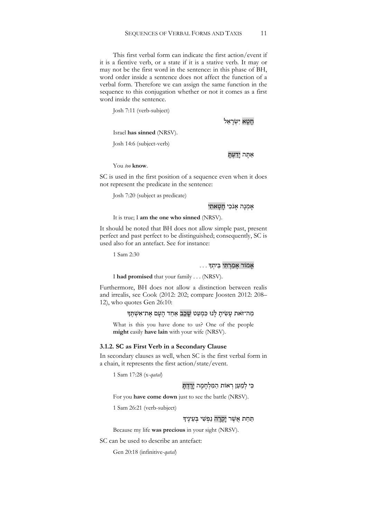This first verbal form can indicate the first action/event if it is a fientive verb, or a state if it is a stative verb. It may or may not be the first word in the sentence: in this phase of BH, word order inside a sentence does not affect the function of a verbal form. Therefore we can assign the same function in the sequence to this conjugation whether or not it comes as a first word inside the sentence.

Josh 7:11 (verb-subject)

חַטָא יְשְׂרָאֵל

Israel **has sinned** (NRSV).

Josh 14:6 (subject-verb)

#### אַתָּה יָדַעָתָּ

You *too* **know**.

SC is used in the first position of a sequence even when it does not represent the predicate in the sentence:

Josh 7:20 (subject as predicate)

#### אָמְנָה אָנֹכִי חַטָּאתִי

It is true; I **am the one who sinned** (NRSV).

It should be noted that BH does not allow simple past, present perfect and past perfect to be distinguished; consequently, SC is used also for an antefact. See for instance:

1 Sam 2:30

#### אָמוֹר אָמַרְתִּי בֵּיתָךָ

I **had promised** that your family . . . (NRSV).

Furthermore, BH does not allow a distinction between realis and irrealis, see Cook (2012: 202; compare Joosten 2012: 208– 12), who quotes Gen 26:10:

מַה־זֹּאת עַשִׂיתַ לְּנוּ כִּמְעַט שַׁכַב אַחד הַעַם אֶת־אַשָׁתֵּד

What is this you have done to us? One of the people **might** easily **have lain** with your wife (NRSV).

#### **3.1.2. SC as First Verb in a Secondary Clause**

In secondary clauses as well, when SC is the first verbal form in a chain, it represents the first action/state/event.

1 Sam 17:28 (x-*qatal*)

# כִּי לִמְעַן רְאוֹת הַמַּלְחְמַה יְרִדְתָּ

For you **have come down** just to see the battle (NRSV).

1 Sam 26:21 (verb-subject)

#### תַּחַת אֲשֶׁר יַקְרַה נַפְּשִׁי בְּעֵינֵיךָ

Because my life **was precious** in your sight (NRSV).

SC can be used to describe an antefact:

Gen 20:18 (infinitive-*qatal*)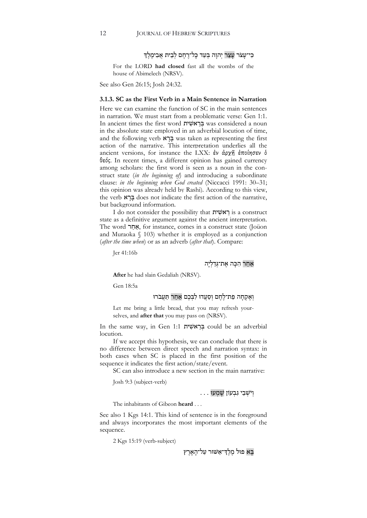# כִּי־עַצֹר עַצַר יְהוַה בְּעַד כַּל־רֶחֶם לְבֵית אֲבִימֶלֶד

For the LORD **had closed** fast all the wombs of the house of Abimelech (NRSV).

See also Gen 26:15; Josh 24:32.

#### **3.1.3. SC as the First Verb in a Main Sentence in Narration**

Here we can examine the function of SC in the main sentences in narration. We must start from a problematic verse: Gen 1:1. In ancient times the first word בְּרָאשׁׁית was considered a noun in the absolute state employed in an adverbial locution of time, and the following verb  $\mathbb{R}$   $\subseteq$  was taken as representing the first action of the narrative. This interpretation underlies all the ancient versions, for instance the LXX: ἐν ἀρχῇ ἐποίησεν ὁ θεός. In recent times, a different opinion has gained currency among scholars: the first word is seen as a noun in the construct state (*in the beginning of*) and introducing a subordinate clause: *in the beginning when God created* (Niccacci 1991: 30–31; this opinion was already held by Rashi)*.* According to this view, the verb בַרָא does not indicate the first action of the narrative, but background information.

I do not consider the possibility that רְאשׁית is a construct state as a definitive argument against the ancient interpretation. The word הָאֲחָר, for instance, comes in a construct state (Joüon and Muraoka  $\binom{8}{103}$  whether it is employed as a conjunction (*after the time when*) or as an adverb (*after that*). Compare:

Jer 41:16b

#### אַחַר הִכָּה אֱת־גְּדַלְיַה

**After** he had slain Gedaliah (NRSV).

Gen 18:5a

# וֹאַקְחָה פַת־לַחָם וְסַעֲדוּ לִבְּכֵם אַחַר תַּעַבֹרוּ

Let me bring a little bread, that you may refresh yourselves, and **after that** you may pass on (NRSV).

In the same way, in Gen 1:1 ית ִאשׁ ֵר ְבּ could be an adverbial locution.

If we accept this hypothesis, we can conclude that there is no difference between direct speech and narration syntax: in both cases when SC is placed in the first position of the sequence it indicates the first action/state/event.

SC can also introduce a new section in the main narrative:

Josh 9:3 (subject-verb)

וְ יֹשְׁ בֵ י גִ בְ עוֹן שָׁ מְ עוּ . . .

The inhabitants of Gibeon **heard** . . .

See also 1 Kgs 14:1. This kind of sentence is in the foreground and always incorporates the most important elements of the sequence.

2 Kgs 15:19 (verb-subject)

בִּא פוּל מִלֹדְ־אַשׁוּר עַל־הָאָרץ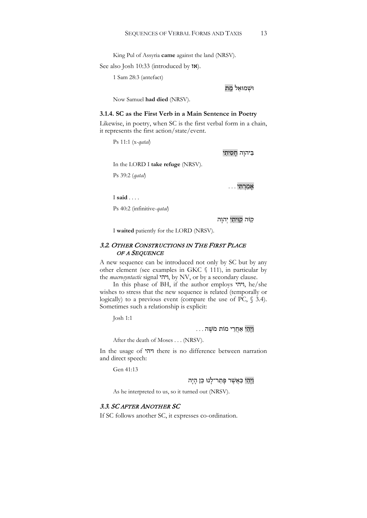King Pul of Assyria **came** against the land (NRSV).

See also Josh 10:33 (introduced by  $\mathsf{N}\mathsf{K}$ ).

1 Sam 28:3 (antefact)

וּשָׁמוּאֵל מֵת

Now Samuel **had died** (NRSV).

#### **3.1.4. SC as the First Verb in a Main Sentence in Poetry**

Likewise, in poetry, when SC is the first verbal form in a chain, it represents the first action/state/event.

Ps 11:1 (x-*qatal*)

בִיהוַה חַסִיתִי

In the LORD I **take refuge** (NRSV).

Ps 39:2 (*qatal*)

 $\ldots$  . . .

I **said** . . . .

Ps 40:2 (infinitive-*qatal*)

קַ וֹּה קִ וִּ יתִ י יְהוָ ה

I **waited** patiently for the LORD (NRSV).

## 3.2. OTHER CONSTRUCTIONS IN THE FIRST PLACE OF A SEQUENCE

A new sequence can be introduced not only by SC but by any other element (see examples in GKC § 111), in particular by the *macrosyntactic* signal ויהי, by NV, or by a secondary clause.

In this phase of BH, if the author employs ויהי, he/she wishes to stress that the new sequence is related (temporally or logically) to a previous event (compare the use of PC,  $\S$  3.4). Sometimes such a relationship is explicit:

Josh 1:1

וַ יְהִ י אַ חֲ רֵ י מוֹת מֹשֶׁ ה . . .

After the death of Moses . . . (NRSV).

In the usage of ויהי there is no difference between narration and direct speech:

Gen 41:13

ויהי כַּאַשָׁר פַּתַר־לָנוּ כֵּן הִיה

As he interpreted to us, so it turned out (NRSV).

#### 3.3. SC AFTER ANOTHER SC

If SC follows another SC, it expresses co-ordination.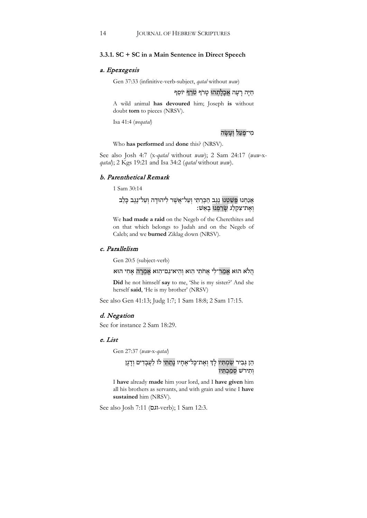#### **3.3.1. SC + SC in a Main Sentence in Direct Speech**

#### a. Epexegesis

Gen 37:33 (infinitive-verb-subject, *qatal* without *waw*)

## חַיָּה רַעֲה אֱכָלָתְהוּ טַרֹף טֹרַף יוֹסֵף

A wild animal **has devoured** him; Joseph **is** without doubt **torn** to pieces (NRSV).

Isa 41:4 (*weqatal*)

#### מי־פַעל ועשה

Who **has performed** and **done** this? (NRSV).

See also Josh 4:7 (x*-qatal* without *waw*); 2 Sam 24:17 (*waw-*x*qatal*); 2 Kgs 19:21 and Isa 34:2 (*qatal* without *waw*).

#### b. Parenthetical Remark

1 Sam 30:14

# אֲנַחִנוּ פֵּשַׁטְנוּ נֵגֶב הַכְּרֵתִי וְעַל־אֲשֶׁר לִיהוּדָה וְעַל־נֶגֶב כְּלֵב וְ אֶ ת־צִ קְ לַ ג שָׂ רַ פְ נוּ בָ אֵ שׁ׃

We **had made a raid** on the Negeb of the Cherethites and on that which belongs to Judah and on the Negeb of Caleb; and we **burned** Ziklag down (NRSV).

#### c. Parallelism

Gen 20:5 (subject-verb)

#### הֲלֹא הוּא אָמַר־לִי אֲחֹתִי הִוא וְהִיא־גַם־הִוא אֲמְרָה אָחִי הוּא

**Did** he not himself **say** to me, 'She is my sister?' And she herself **said**, 'He is my brother' (NRSV)

See also Gen 41:13; Judg 1:7; 1 Sam 18:8; 2 Sam 17:15.

#### d. Negation

See for instance 2 Sam 18:29.

#### e. List

Gen 27:37 (*waw-*x-*qatal*)

# הֵן גִּבִיר שַׂמְתִּיו לְךָ וְאֶת־כָּל־אֶחָיו נָתַתִּי לוֹ לַעֲבָדִים וְדָגָן וְתִירֹשׁ סְמַכְתְּיו

I **have** already **made** him your lord, and I **have given** him all his brothers as servants, and with grain and wine I **have sustained** him (NRSV).

See also Josh 7:11 (ואם-verb); 1 Sam 12:3.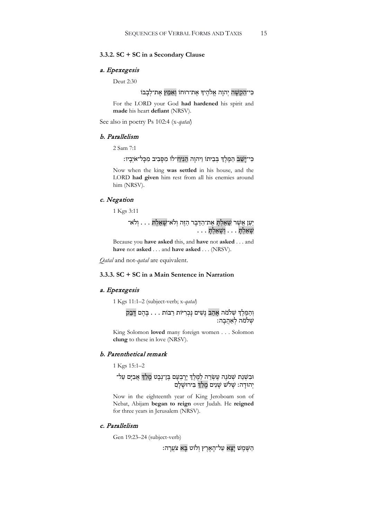#### **3.3.2. SC + SC in a Secondary Clause**

#### a. Epexegesis

Deut 2:30

# כִּי־הָקָשָׁה יְהוַה אֱלֹהֶיךָ אֶת־רוּחוֹ וְאִמֵּץ אֶת־לְבָבוֹ

For the LORD your God **had hardened** his spirit and **made** his heart **defiant** (NRSV).

See also in poetry Ps 102:4 (x-*qatal*)

#### b. Parallelism

2 Sam 7:1

# כִּי־יִשַׁב הַמֶּלֶךְ בִּבֵיתוֹ וַיהוָה הֵנִיח־לוֹ מִסָּבִיב מִכָּל־אֹיָבֵיו:

Now when the king **was settled** in his house, and the LORD **had given** him rest from all his enemies around him (NRSV).

#### c. Negation

1 Kgs 3:11

ַיַּעַז אֲשֶׁר שָׁאַלְתָּ אֵת־הַדָּבְר הַזֶּה וְלֹא־שָׁאַלְתּ . . . וְלֹא־ שְׁאַלְתָּ . . . וְשָׁאַלְתָּ . . .

Because you **have asked** this, and **have** not **asked** . . . and **have** not **asked** . . . and **have asked** . . . (NRSV).

*Qatal* and not-*qatal* are equivalent.

#### **3.3.3. SC + SC in a Main Sentence in Narration**

#### a. Epexegesis

1 Kgs 11:1–2 (subject-verb; x-*qatal*)

וְהַמֶּלֶךְ שְׁלֹמֹה אָהַב נָשִׁים נָכְרִיּוֹת רַבּוֹת . . . בָּהֵם דָּבַק .<br>שִׁלֹמֹה לְאַהְבָה:

King Solomon **loved** many foreign women . . . Solomon **clung** to these in love (NRSV).

#### b. Parenthetical remark

1 Kgs 15:1–2

# וּבִשָּׁנַת שִׁמֹּנֵה עֵשְׂרֵ<u>ה לַמֶּלֵ</u>ךְ יָרָבִעָם בֶּן־נְבָט מָלַךְ אֲבִיָּם עַל־ יְהוּדָה: שָׁלֹשׁ שָׁנִים מֲלַךְ בִּירוּשָׁלָם

Now in the eighteenth year of King Jeroboam son of Nebat, Abijam **began to reign** over Judah. He **reigned** for three years in Jerusalem (NRSV).

# c. Parallelism

Gen 19:23–24 (subject-verb)

הַ שֶּׁמֲשׁ יַצַא עַל־הָאָרֶץ וְלוֹט בֵּא צֹעֲרָה: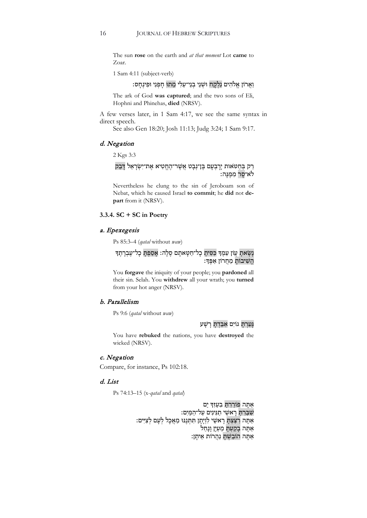The sun **rose** on the earth and *at that moment* Lot **came** to Zoar.

1 Sam 4:11 (subject-verb)

# וַ אֲלֹהִים נִלְקַח וּשְׁנֵי בְנֵי־עֵלִי מֵתוּ חַפְנִי וּפִינְחָס:

The ark of God **was captured**; and the two sons of Eli, Hophni and Phinehas, **died** (NRSV).

A few verses later, in 1 Sam 4:17, we see the same syntax in direct speech.

See also Gen 18:20; Josh 11:13; Judg 3:24; 1 Sam 9:17.

#### d. Negation

2 Kgs 3:3

רַק בְּחַטּאות יָרָבְעָם בֶּן־נְבָט אֲשֶׁר־הֶחֱטִיא אֶת־יִשְׂרָאֵל דַּבֵק לֹאַ־סָר מִמְּנֵּה:

Nevertheless he clung to the sin of Jeroboam son of Nebat, which he caused Israel **to commit**; he **did** not **depart** from it (NRSV).

## **3.3.4. SC + SC in Poetry**

## a. Epexegesis

Ps 85:3–4 (*qatal* without *waw*)

# נַשָׂאתָ עֲוֹן עַמֶּךְ כִּסִּיתָ כָל־חַטָּאתָם סֵלָה: אֲסַפְתָּ כָל־עֵבְרָתֵךְ הֵשִׁיבוֹת מֵחֲרוֹן אַפֶּדּ:

You **forgave** the iniquity of your people; you **pardoned** all their sin. Selah. You **withdrew** all your wrath; you **turned** from your hot anger (NRSV).

# b. Parallelism

Ps 9:6 (*qatal* without *waw*)

גָּעַרְתָּ גוֹיִם אָבַּדְתָּ רָשָׁע

You have **rebuked** the nations, you have **destroyed** the wicked (NRSV).

# c. Negation

Compare, for instance, Ps 102:18.

## d. List

Ps 74:13–15 (x-*qatal* and *qatal*)

אַתָּה פוֹרַרְתָּ בְעָזְךָ יָם שִׁ בַּ רְ תָּ רָ אשֵׁ י תַ נִּינִים עַ ל־הַ מָּ יִם׃ אַ הַדְּ הַדְּבָי הַחֲרָה הַתְּנֶנּוּ מַאֲכְל לְעָם לְצִיִּים:<br>אַתָּה רִצַּצְתָּ רָאשֵׁי לִוְיָתָן תִּתְּנֶנּוּ מַאֲכְל לְעָם לְצִיִּים: אַתּה בקַעָתּ מַעְיַן וַנַחַל אַתַּה הוֹבַשְׁתַּ נַהֲרוֹת אֵיתַן: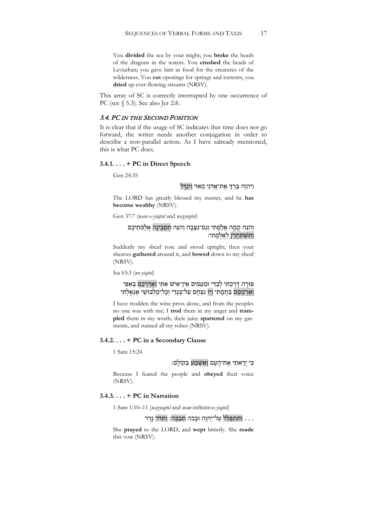You **divided** the sea by your might; you **broke** the heads of the dragons in the waters. You **crushed** the heads of Leviathan; you gave him as food for the creatures of the wilderness. You **cut** openings for springs and torrents; you **dried** up ever-flowing streams (NRSV).

This array of SC is correctly interrupted by one occurrence of PC (see § 5.3). See also Jer 2:8.

## 3.4. PC IN THE SECOND POSITION

It is clear that if the usage of SC indicates that time does not go forward, the writer needs another conjugation in order to describe a non-parallel action. As I have salready mentioned, this is what PC does.

#### **3.4.1. . . . + PC in Direct Speech**

Gen 24:35

# וַיהוָה בֵּרַךְ אֵת־אֲדֹנִי מְאֹד וַיִּגְדָּל

The LORD has greatly blessed my master, and he **has become wealthy** (NRSV).

Gen 37:7 (*waw-x-yiqtol* and *wayyiqtol*)

## וְהִנֵּה קַמָּה אֲלֵמֶתִי וְגַם־נִצְּבָה וְהִנֵּה תְסֻבֶּינָה אֲלֻמֹּתֵיכֶם וַ תִּשְׁתַּחֲוֶין לַאֲלֻמֶּתִי:

Suddenly my sheaf rose and stood upright; then your sheaves **gathered** around it, and **bowed** down to my sheaf (NRSV).

Isa 63:3 (*we-yiqtol*)

# פּוּרָה דְּרַכְתִּי לְבַדִּי וּמֵעַמִּים אֵין־אִישׁ אִתִּי וְאֵדְרְכֵם בְּאַפִּי וְ אֶ רְ מְ הַדְּ מְ הַדְּ הַדְּ הַדְּ הַדְּ הַדְּ הַל־מַלְבּוּשִׁי אָגָאָלְתִּי<br>וְאֶרְמַסֶם בַּחֲמַתִּי וְיַז נַצְחָם עַל־בַּגְדִי וְכַל־מַלְבּוּשִׁי אָגָאַלְתִּי

I have trodden the wine press alone, and from the peoples no one was with me; I **trod** them in my anger and **trampled** them in my wrath; their juice **spattered** on my garments, and stained all my robes (NRSV).

#### **3.4.2. . . . + PC in a Secondary Clause**

1 Sam 15:24

# כִּ י יָרֵ אתִ י אֶ ת־הָ עָ ם וָ אֶ שְׁ מַ ע בְּ קוֹלָ ם׃

Because I feared the people and **obeyed** their voice (NRSV).

#### **3.4.3. . . . + PC in Narration**

1 Sam 1:10–11 (*wayyiqtol* and *waw*-infinitive-*yiqtol*)

# . . . וַתְּתִפְּלֵּל עַל־יְהוַה וּבִכֹה תִבְכֵּה: וַתְּדֹּר נֵדֶר .

She **prayed** to the LORD, and **wept** bitterly. She **made** this vow (NRSV).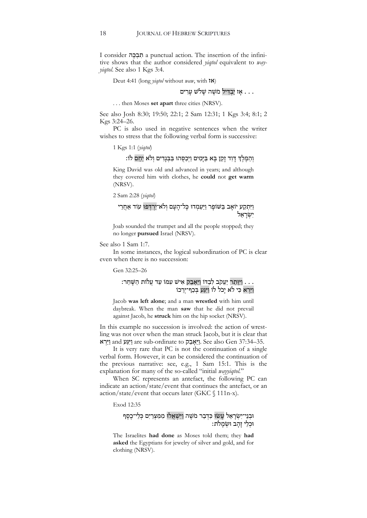I consider ה ֶכּ ְב ִת a punctual action. The insertion of the infinitive shows that the author considered *yiqtol* equivalent to *wayyiqtol*. See also 1 Kgs 3:4.

Deut 4:41 (long *yiqtol* without *waw*, with אז(

# ... אז יבדיל מֹשָׁה שִׁלֹשׁ ערים

. . . then Moses **set apart** three cities (NRSV).

See also Josh 8:30; 19:50; 22:1; 2 Sam 12:31; 1 Kgs 3:4; 8:1; 2 Kgs 3:24–26.

PC is also used in negative sentences when the writer wishes to stress that the following verbal form is successive:

1 Kgs 1:1 (*yiqtol*)

# וְהַמֶּלֶךְ דַּוְד זַקֵן בָּא בַּיָּמִים וַיִּכַסְּהוּ בַּבְּגָדִים וְלֹא יְחַם לוֹ:

King David was old and advanced in years; and although they covered him with clothes, he **could** not **get warm** (NRSV).

2 Sam 2:28 (*yiqtol*)

# וַיִּתְקַע יוֹאָב בַּשּׁוֹפָר וַיַּעַמְדוּ כָּל־הָעָם וְלֹא־יִרְדִּפוּ עוֹד אַחֵרֵי יִשְׂרָאֵל

Joab sounded the trumpet and all the people stopped; they no longer **pursued** Israel (NRSV).

See also 1 Sam 1:7.

In some instances, the logical subordination of PC is clear even when there is no succession:

Gen 32:25–26

# . . . <u>וַיְּוָתֵר יַעֲ</u>קֹב לְבַדּוֹ וַיֵּאָבֵק אִישׁ עִמּוֹ עַד עֲלוֹת הַשָּׁחַר: וַ יַּרְ א כִּ י ל ֹא יָכֹל לוֹ וַ יִּגַּע בְּ כַ ף־יְרֵ כוֹ

Jacob **was left alone**; and a man **wrestled** with him until daybreak. When the man **saw** that he did not prevail against Jacob, he **struck** him on the hip socket (NRSV).

In this example no succession is involved: the action of wrestling was not over when the man struck Jacob, but it is clear that יֵי and וַיֵּצְע are sub-ordinate to וַיֵּאֲבֵק See also Gen 37:34–35.

It is very rare that PC is not the continuation of a single verbal form. However, it can be considered the continuation of the previous narrative: see, e.g., 1 Sam 15:1. This is the explanation for many of the so-called "initial *wayyiqtol.*"

When SC represents an antefact, the following PC can indicate an action/state/event that continues the antefact, or an action/state/event that occurs later (GKC § 111n-x).

Exod 12:35

# וּבְנֵי־יִשְׂרָאֵל עָשׂוּ כִּדְבַר מֹשֶׁה וַיִּ<mark>שְׁאֲלוּ</mark> מִמִּצְרַיִם כְּלֵי־כֵסֵף וּכלי זהב וּשַׂמלֹת:

The Israelites **had done** as Moses told them; they **had asked** the Egyptians for jewelry of silver and gold, and for clothing (NRSV).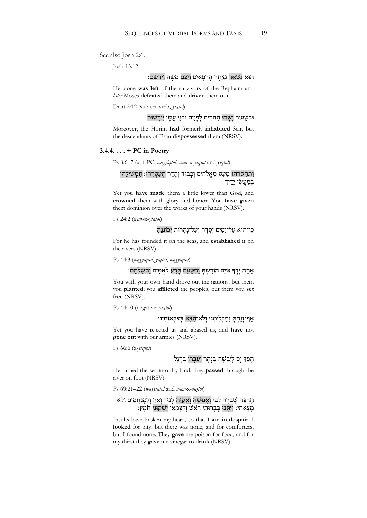See also Josh 2:6.

Josh 13:12

## הוּא נִשְׁאַר מִיֵּתֵר הָרִפָּאִים וַיַּכֵּם מֹשֵׁה וַיֹּרִשֵׁם:

He alone **was left** of the survivors of the Rephaim and *later* Moses **defeated** them and **driven** them **out**.

Deut 2:12 (subject-verb, *yiqtol*)

וּבְשֵׂעִיר יַשְׁבוּ הַחֹרִים לְפָנִים וּבְנֵי עֵשָׂו יִירַשׁוּם

Moreover, the Horim **had** formerly **inhabited** Seir, but the descendants of Esau **dispossessed** them (NRSV).

#### **3.4.4. . . . + PC in Poetry**

Ps 8:6–7 (x + PC; *wayyiqtol*, *waw-*x-*yiqtol* and *yiqtol*)

# וַתְּחַסְּרָהוּ מִּעַט מֵאֱלֹהִים וְכָבוֹד וְהִדָר תְּעַטְּרֶהוּ: תַּמְשִׁילָהוּ בִּמַעֲשֵׂי יָדֵיךָ

Yet you **have made** them a little lower than God, and **crowned** them with glory and honor. You **have given** them dominion over the works of your hands (NRSV).

Ps 24:2 (*waw-*x-*yiqtol*)

# כִּי־הוּא עַל־יַמִּים יִסֻדָהּ וְעַל־נְהֲרוֹת יְכוֹנְנֶה

For he has founded it on the seas, and **established** it on the rivers (NRSV).

Ps 44:3 (*wayyiqtol*, *yiqtol*, *wayyiqtol*)

אַתְּה יְדְךָ גּוֹיִם הוֹרַשְׁתָּ וַתִּשְׁעֵם תֲרַע לִאָמִים וַתְּשַׁלְּחֵם:

You with your own hand drove out the nations, but them you **planted**; you **afflicted** the peoples, but them you **set free** (NRSV).

Ps 44:10 (negative; *yiqtol*)

# אַף־זַנַחְתַּ וַתַּכְלִימֵנוּ וְלֹא־תֵצֵא בִּצְבְאוֹתֵינוּ

Yet you have rejected us and abased us, and **have** not **gone out** with our armies (NRSV).

Ps 66:6 (x-*yiqtol*)

# הַפַּדְ יַם לְיַבֵּשָׁה בַּנַּהֵר יַעַבְרוּ בִרגֶל

He turned the sea into dry land; they **passed** through the river on foot (NRSV).

Ps 69:21–22 (*wayyiqtol* and *waw-*x-*yiqtol*)

## חֶ רְ פָּ ה שָׁ בְ רָ ה לִ בִּ י וָ אָ נוּשָׁ ה וָ אֲ קַ וֶּ ה לָ נוּד וָ אַ יִן וְ לַ מְ נַ חֲ מִ ים וְ ל ֹא מִצְאתִי: וִיתְּנוּ בִּבְרוּתִי רֹאָשׁ וְלִצְמַאִי יִשְׁקְוּנֵי חֹמֵץְ:

Insults have broken my heart, so that I **am in despair**. I **looked** for pity, but there was none; and for comforters, but I found none. They **gave** me poison for food, and for my thirst they **gave** me vinegar **to drink** (NRSV).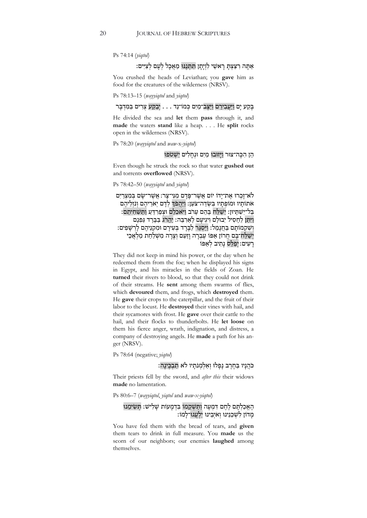Ps 74:14 (*yiqtol*)

# אַתָּה רִצַּצְתָּ רָאשֵׁי לִוְיָתָן תִּתְּנֵנּוּ מַאֲכָל לְעָם לְצִיִּים:

You crushed the heads of Leviathan; you **gave** him as food for the creatures of the wilderness (NRSV).

Ps 78:13–15 (*wayyiqtol* and *yiqtol*)

בְּקַע יַם וַיַּעֲבְירֵם וַיַּצֵּב־מַיִם כְּמוֹ־נֵד . . . יְבָקֵע צִרְים בַּמִּדְבַּר

He divided the sea and **let** them **pass** through it, and **made** the waters **stand** like a heap. . . . He **split** rocks open in the wilderness (NRSV).

Ps 78:20 (*wayyiqtol* and *waw*-x-*yiqtol*)

## הֵ ן הִ כָּ ה־צוּר וַ יָּזוּבוּ מַ יִם וּנְ חָ לִ ים יִשְׁ טֹפוּ

Even though he struck the rock so that water **gushed out** and torrents **overflowed** (NRSV).

Ps 78:42–50 (*wayyiqtol* and *yiqtol*)

לֹא־זַכְרוּ אֶת־יָדוֹ יוֹם אֲשֶׁר־פַּדַם מִנִּי־צָר: אֲשֶׁר־שַׂם בְּמִצְרַיִם אֹתוֹתָיו וּמוֹפְתָיו בִּשְׂדֵה־צֹעַן: וַיַּהֲפֹדְ לְדָם יִאֹרֵיהֶם וְנֹזְלֵיהֶם בַּל־יִשְׁתֵּיוּן: יִשַׁלַּח בָּהֶם עַרֹב וַיּאכְלֵם וּצְפַרְדֵּעַ וַתַּשְׁחִיתֵם: וַיְּתֵּן לֶחָסִיל יְבוּלַם וְיגִיעַם לַאֲרְבֶּה: יַהֲרֹג בַּבְּרַד גַּפְנָם וְשָׁקְמוֹתִם בַּחְנַמְל: וַיִּסְגֶר לַבְרַד בְּעִירִם וּמִקְנֵיהֶם לַרְשָׁפִים: יְשַׁלַּח־בָּם חֲרוֹן אַפּוֹ עֵבְרָה וַזַעַם וְצָרָה מִשְׁלַחַת מַלְאֲכֵי רַעִים: יְפַלֵּס נַתְיב לְאַפּוֹ

They did not keep in mind his power, or the day when he redeemed them from the foe; when he displayed his signs in Egypt, and his miracles in the fields of Zoan. He **turned** their rivers to blood, so that they could not drink of their streams. He **sent** among them swarms of flies, which **devoured** them, and frogs, which **destroyed** them. He **gave** their crops to the caterpillar, and the fruit of their labor to the locust. He **destroyed** their vines with hail, and their sycamores with frost. He **gave** over their cattle to the hail, and their flocks to thunderbolts. He **let loose** on them his fierce anger, wrath, indignation, and distress, a company of destroying angels. He **made** a path for his anger (NRSV).

Ps 78:64 (negative; *yiqtol*)

# כֹּהֲנָיו בַּחֶרֶב נָפָלוּ וְאֵלְמְנֹתֵיו לֹא תִבְכֵּינַה:

Their priests fell by the sword, and *after this* their widows **made** no lamentation.

Ps 80:6–7 (*wayyiqtol*, *yiqtol* and *waw-x-yiqtol*)

# הֶ אֱכַלְתָּם לֶחֶם דִּמְעַה וַתַּשְׁקֵמוֹ בִּדְמַעוֹת שַׁלְישׁ: תִּשְׂימֵנוּ מָ דוֹן לִ שְׁ כֵ נֵינוּ וְ אֹיְבֵ ינוּ יִלְ עֲ גוּ־לָ מוֹ׃

You have fed them with the bread of tears, and **given** them tears to drink in full measure. You **made** us the scorn of our neighbors; our enemies **laughed** among themselves.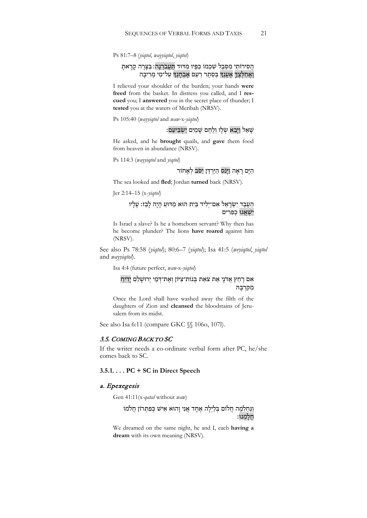Ps 81:7–8 (*yiqtol*, *wayyiqtol*, *yiqtol*)

## הֲסִירוֹתִי מִסֵּבֶל שִׁכִמוֹ כַּפָּיו מִדּוּד תַּעֲבֹרְנָה: בַּצָּרָה קָרָאתָ וְאֲחַלְצֶדָ אֶעֶנְךָ בְּסֵתֶר רַעַם אֶבְחָנְךָ עַל־מֵי מְרִיבָה

I relieved your shoulder of the burden; your hands **were freed** from the basket. In distress you called, and I **rescued** you; I **answered** you in the secret place of thunder; I **tested** you at the waters of Meribah (NRSV).

Ps 105:40 (*wayyiqtol* and *waw*-x-*yiqtol*)

# שָׁ אַל וִ יִּבֵא שָׂלו וְלֶחֶם שַׁמַיִם יִשְׂבִּיעֵם:

He asked, and he **brought** quails, and **gave** them food from heaven in abundance (NRSV).

Ps 114:3 (*wayyiqtol* and *yiqtol*)

# הַיָּם רָאָה וַיַּנֹס הַיַּרְדֵּן יִסֹּב לֹאָחוֹר

The sea looked and **fled**; Jordan **turned** back (NRSV).

Jer 2:14–15 (x-*yiqtol*)

## הַעֶּבֶד יִשְׂרָאֵל אִם־יְלִיד בַּיִת הוּא מַדּוּעַ הָיָה לְבַז: עָלְיו יִשְׁאֲגוּ כְפִרִים

Is Israel a slave? Is he a homeborn servant? Why then has he become plunder? The lions **have roared** against him (NRSV).

See also Ps 78:58 (*yiqtol*); 80:6–7 (*yiqtol*); Isa 41:5 (*weyiqtol*, *yiqtol*  and *wayyiqtol*).

Isa 4:4 (future perfect, *waw-*x-*yiqtol*)

# אִם רַחַץ אֲדֹנֵי אֵת צֹאַת בְּנוֹת־צִיּוֹן וְאֶת־דְּמֵי יְרוּשָׁלֶֹם יַדִיחַ מִ קִּ רְ בָּ הּ

Once the Lord shall have washed away the filth of the daughters of Zion and **cleansed** the bloodstains of Jerusalem from its midst.

See also Isa 6:11 (compare GKC §§ 106o, 107l).

#### 3.5. COMING BACK TO SC

If the writer needs a co-ordinate verbal form after PC, he/she comes back to SC.

#### **3.5.1. . . . PC + SC in Direct Speech**

#### a. Epexegesis

Gen 41:11(x*-qatal* without *waw*)

וַנַּחַלְמָה חֲלוֹם בְּלַיְלָה אֶחָד אֲנִי וָהוּא אִישׁ כְּפִתְרוֹן חֲלֹמוֹ חָ לָ מְ נוּ׃

We dreamed on the same night, he and I, each **having a dream** with its own meaning (NRSV).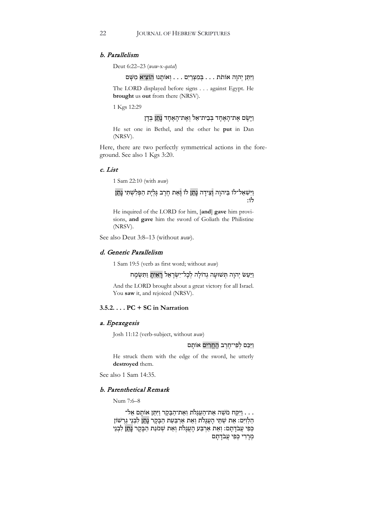#### b. Parallelism

Deut 6:22–23 (*waw*-x-*qatal*)

#### וַ יִּתֵּ ן יְהוָ ה אוֹתֹת . . . בְּ מִ צְ רַ יִם . . . וְ אוֹתָ נוּ הוֹצִ יא מִ שָּׁ ם

The LORD displayed before signs . . . against Egypt. He **brought** us **out** from there (NRSV).

1 Kgs 12:29

## וַ יָּשֶׂ ם אֶ ת־הָ אֶ חָ ד בְּ בֵ ית־אֵ ל וְ אֶ ת־הָ אֶ חָ ד נָ תַ ן בְּ דָ ן

He set one in Bethel, and the other he **put** in Dan (NRSV).

Here, there are two perfectly symmetrical actions in the foreground. See also 1 Kgs 3:20.

#### c. List

1 Sam 22:10 (with *waw*)

וַיִּשְׁאַל־לוֹ בַּיהוָה וְצֵידָה נָתַן לוֹ וְאֵת חֶרֶב גָּלְיָת הַפְּלִשְׁתִּי נָתַן לוֹ׃

He inquired of the LORD for him, [**and**] **gave** him provisions, **and gave** him the sword of Goliath the Philistine (NRSV).

See also Deut 3:8–13 (without *waw*).

# d. Generic Parallelism

1 Sam 19:5 (verb as first word; without *waw*)

## וַיַּעַשׂ יְהוָה תְּשׁוּעָה גְדוֹלָה לְכָל־יִשְׂרָאֵל רָאִיתָ וַתִּשְׂמָח

And the LORD brought about a great victory for all Israel. You **saw** it, and rejoiced (NRSV).

# **3.5.2. . . . PC + SC in Narration**

#### a. Epexegesis

Josh 11:12 (verb-subject, without *waw*)

#### וַיַּכֵּם לִפְי־חֶרֵב הֶחֱרִים אוֹתָם

He struck them with the edge of the sword, he utterly **destroyed** them.

See also 1 Sam 14:35.

# b. Parenthetical Remark

Num 7:6–8

. . . וַיִּקַּח מֹשֶׁה אֶת־הָעֲגָלֹת וְאֶת־הַבָּקָר וַיִּתֵּן אוֹתָם אֵל־ . הַלְוָיִם: אֵת שְׁתֵּי הַעֲגַלֹת וְאֵת אַרְבַּעַת הַבַּקָר נִתן לִבְנֵי גֶרְשׁוֹן כִּפִי עֵבֹדָתָם: וְאֵת אַרְבַּע הָעֲגָלֹת וְאֵת שְׁמֹנַת הַבְּקָר נְתַן לִבְנֵי מְרַרִי כִּפִי עֲבֹדָתָם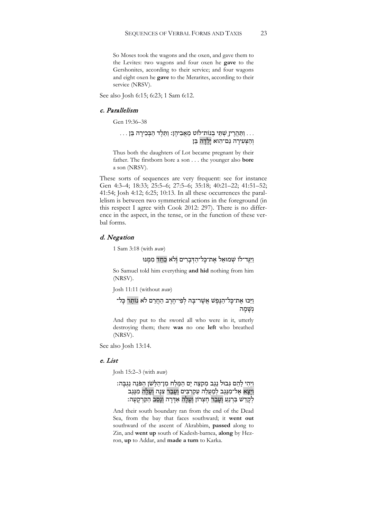So Moses took the wagons and the oxen, and gave them to the Levites: two wagons and four oxen he **gave** to the Gershonites, according to their service; and four wagons and eight oxen he **gave** to the Merarites, according to their service (NRSV).

See also Josh 6:15; 6:23; 1 Sam 6:12.

#### c. Parallelism

Gen 19:36–38

# . . . וַתַּהֲרֶין שְׁתֵּי בְ<u>נוֹת־</u>לוֹט מֵאֲבִיהֶן: וַתֵּלֶד הַבְּכִירָה בֵּן . . . וְהַצְּעִירָה גַם־הִוא יָלְדָה בֵּן

Thus both the daughters of Lot became pregnant by their father. The firstborn bore a son . . . the younger also **bore** a son (NRSV).

These sorts of sequences are very frequent: see for instance Gen 4:3–4; 18:33; 25:5–6; 27:5–6; 35:18; 40:21–22; 41:51–52; 41:54; Josh 4:12; 6:25; 10:13. In all these occurrences the parallelism is between two symmetrical actions in the foreground (in this respect I agree with Cook 2012: 297). There is no difference in the aspect, in the tense, or in the function of these verbal forms.

#### d. Negation

1 Sam 3:18 (with *waw*)

וִיּגִּד־לוֹ שִׁמוּאֵל אַת־כַּל־הִדִּבְרִים וְלֹאֵ כַחַד מִמְּנּוּ

So Samuel told him everything **and hid** nothing from him (NRSV).

Josh 11:11 (without *waw*)

# וַיָּכּוּ אֶת־כָּל־הַגֲפֶשׁ אֲשֶׁר־בַּהּ לְפִי־חֶרֶב הַחֲרֵם לֹא נוֹתַר כָּל־ נִשָּׁמַה

And they put to the sword all who were in it, utterly destroying them; there **was** no one **left** who breathed (NRSV).

See also Josh 13:14.

#### e. List

Josh 15:2–3 (with *waw*)

# וַיְהִי לָהֶם גְּבוּל נֵגֶב מִקְצֶה יָם הַמֶּלַח מִן־הַלָּשׁן הַפּּנֶה נֵגְבָּה: וְיַצָּא אֶל־מִנֶּגֶב לְמַעֲלֶה עַקְרַבִּים וְעַבָר צְנַה וְעַלַה מְנֵגֶב<sup>'</sup> לְקָדֵשׁ בַּרְנֵעַ וְעַבָר חֵצְרוֹן וְעָלָה אַדָּרָה וְנָסַב הַקַּרְקַעָה:

And their south boundary ran from the end of the Dead Sea, from the bay that faces southward; it **went out** southward of the ascent of Akrabbim, **passed** along to Zin, and **went up** south of Kadesh-barnea, **along** by Hezron, **up** to Addar, and **made a turn** to Karka.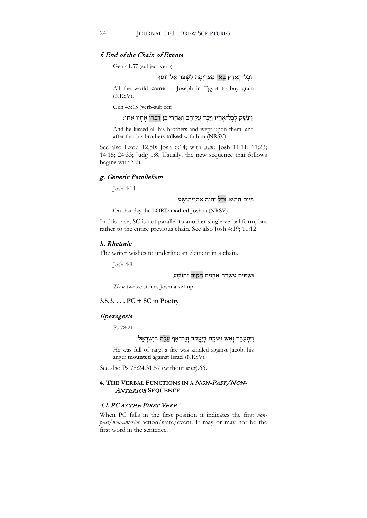## f. End of the Chain of Events

Gen 41:57 (subject-verb)

# וְכָל־הָאָרֵץ בָּאוּ מִצְרַיִמָה לִשְׁבֹּר אֱל־יוֹסֵף

All the world **came** to Joseph in Egypt to buy grain (NRSV).

Gen 45:15 (verb-subject)

וַיְנַשֵּׁק לְכָל־אֶחָיו וַיֵּבְךָ עֲלֵיהֶם וְאָחֲרֵי כֵן דִּבְּרוּ אֶחָיו אִתּוֹ:

And he kissed all his brothers and wept upon them; and after that his brothers **talked** with him (NRSV).

See also Exod 12,50; Josh 6:14; with *waw*: Josh 11:11; 11:23; 14:15; 24:33; Judg 1:8. Usually, the new sequence that follows begins with ויהי.

#### g. Generic Parallelism

Josh 4:14

# בַּיּוֹם הַהוּא גִּדַּל יְהוַה אֱת־יְהוֹשָׁעַ

On that day the LORD **exalted** Joshua (NRSV).

In this case, SC is not parallel to another single verbal form, but rather to the entire previous chain. See also Josh 4:19; 11:12.

#### h. Rhetoric

The writer wishes to underline an element in a chain.

Josh 4:9

וּשָׁתֵּים עֵשְׂרֵה אֲבַנִים הֵקִים יְהוֹשָׁעַ

*Those* twelve stones Joshua **set up**.

## **3.5.3. . . . PC + SC in Poetry**

#### Epexegesis

Ps 78:21

## וַ יִּתְעַבֵּר וְאֵשׁ נִשְׂקָה בְיַעֲקֹב וְגָם־אֵף עַלָה בְיִשְׂרָאֵל:

He was full of rage; a fire was kindled against Jacob, his anger **mounted** against Israel (NRSV).

See also Ps 78:24.31.57 (without *waw*).66.

## **4. THE VERBAL FUNCTIONS IN A** NON-PAST/NON-ANTERIOR **SEQUENCE**

#### 4.1. PC AS THE FIRST VERB

When PC falls in the first position it indicates the first *nonpast/non-anterior* action/state/event. It may or may not be the first word in the sentence.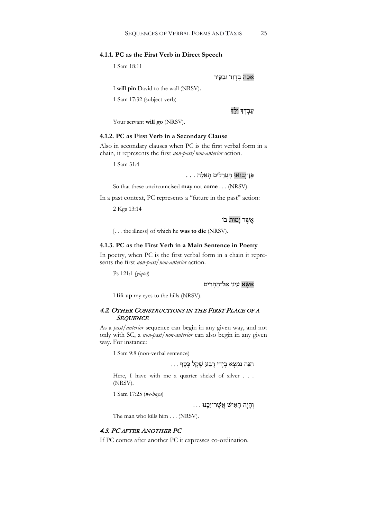#### **4.1.1. PC as the First Verb in Direct Speech**

1 Sam 18:11

#### אַכֵּה בְדָוִד וּבַקִיר

I **will pin** David to the wall (NRSV).

1 Sam 17:32 (subject-verb)

ּעַבְדִּדְ יֵלֵד

Your servant **will go** (NRSV).

#### **4.1.2. PC as First Verb in a Secondary Clause**

Also in secondary clauses when PC is the first verbal form in a chain, it represents the first *non-past/non-anterior* action.

1 Sam 31:4

# פֶּ ן־ יָבוֹאוּ הָ עֲ רֵ לִ ים הָ אֵ לֶּ ה . . .

So that these uncircumcised **may** not **come** . . . (NRSV).

In a past context, PC represents a "future in the past" action:

2 Kgs 13:14

אֲשֶׁר יָמוּת בּוֹ

[. . . the illness] of which he **was to die** (NRSV).

#### **4.1.3. PC as the First Verb in a Main Sentence in Poetry**

In poetry, when PC is the first verbal form in a chain it represents the first *non-past/non-anterior* action.

Ps 121:1 (*yiqtol*)

אֲשָׂא עִינִי אַל־הָהְרִים

I **lift up** my eyes to the hills (NRSV).

#### 4.2. OTHER CONSTRUCTIONS IN THE FIRST PLACE OF A **SEQUENCE**

As a *past/anterior* sequence can begin in any given way, and not only with SC, a *non-past/non-anterior* can also begin in any given way. For instance:

1 Sam 9:8 (non-verbal sentence)

# הִ נֵּ ה נִ מְ צָ א בְ יָדִ י רֶ בַ ע שֶׁ קֶ ל כָּ סֶ ף . . .

Here, I have with me a quarter shekel of silver . . . (NRSV).

1 Sam 17:25 (*we-haya*)

וְ הָ יָה הָ אִ ישׁ אֲ שֶׁ ר־יַכֶּ נּוּ . . .

The man who kills him . . . (NRSV).

## 4.3. PC AFTER ANOTHER PC

If PC comes after another PC it expresses co-ordination.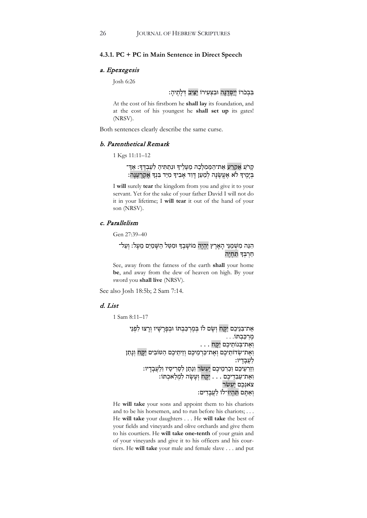#### **4.3.1. PC + PC in Main Sentence in Direct Speech**

#### a. Epexegesis

Josh 6:26

# בִּבְכֹרוֹ יְיַסְדֶנָּה וּבִצְעִירוֹ יַצִּיִב דְּלָתֶיהָ:

At the cost of his firstborn he **shall lay** its foundation, and at the cost of his youngest he **shall set up** its gates! (NRSV).

Both sentences clearly describe the same curse.

#### b. Parenthetical Remark

1 Kgs 11:11–12

# קָרֹעַ אֶקָרַע אֶת־הַמַּמְלָכָה מֵעַלֶיךָ וּנְתַתִּיהַ לְעַבְדֶּךָ: אַדֶּ־ בִּיְמֵיךְ לֹא אֱעֵשֶׂנָּה לְמַעַן דָּוִד אָבִיךְ מִיַּד בִּנְךָ אֱקְרָעֲנָה:

I **will** surely **tear** the kingdom from you and give it to your servant. Yet for the sake of your father David I will not do it in your lifetime; I **will tear** it out of the hand of your son (NRSV).

#### c. Parallelism

Gen 27:39–40

# הִנֵּה מִשְׁמִנִּי הָאָרץ יִהִיה מוֹשַׁבְדֶּ וּמִטֵּל הַשָּׁמִים מַעָל: וְעַל־ חרבִד תחיה

See, away from the fatness of the earth **shall** your home **be**, and away from the dew of heaven on high. By your sword you **shall live** (NRSV).

See also Josh 18:5b; 2 Sam 7:14.

# d. List

1 Sam 8:11–17

```
אֶת־בְּנֵיכֶם יִקָּח וְשָׂם לוֹ בְּמֶרְכַּבְתּוֹ וּבְפָרָשָׁיו וְרָצוּ לִפְנֵי
                                                          מֶ רְ כַּ בְ תּוֹ. . .
                                             י אֶיִ יִ בְּבְּימוּ . . .<br>וְאֶת־בְּנוֹתֵיכֶם יִקָּח
וְאֶת־שְׂדוֹתֵיכֶם וְאֶת־כַּרְמֵיכֶם וְזֵיתֵיכֶם הַטּוֹבִים יִקָּח וְנָתַן
                                                                    לעבדיו:
           וְזַרְעֵיכֵם וְכַרִמֵיכֶם יַעְשׂרַ וְנָתַן לִסָרִיסָיו וְלַעֲבָדָיו:
                     וְאֶת־עַבְדֵיכֶם . . . יִקָּח וְעָשָׂה לִמְלַאכְתּוֹ:
                                                             צאגִבֵם יַעְשׂר
                                             וְאַתֶּם תִּהְיוּ־לוֹ לַעֲבָדִים:
```
He **will take** your sons and appoint them to his chariots and to be his horsemen, and to run before his chariots; . . . He **will take** your daughters . . . He **will take** the best of your fields and vineyards and olive orchards and give them to his courtiers. He **will take one-tenth** of your grain and of your vineyards and give it to his officers and his courtiers. He **will take** your male and female slave . . . and put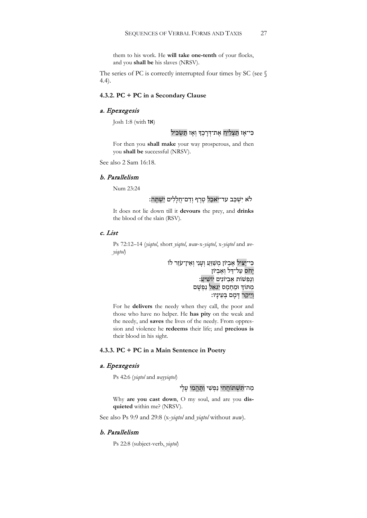them to his work. He **will take one-tenth** of your flocks, and you **shall be** his slaves (NRSV).

The series of PC is correctly interrupted four times by SC (see § 4.4).

#### **4.3.2. PC + PC in a Secondary Clause**

# a. Epexegesis

Josh 1:8 (with  $\mathsf{t}\mathsf{X}$ )

# כִּי־אָז תַּצְלִיחַ אֶת־דְּרָכֶךְ וְאָז תַּשְׂכִּיל

For then you **shall make** your way prosperous, and then you **shall be** successful (NRSV).

See also 2 Sam 16:18.

#### b. Parallelism

Num 23:24

# לֹא יִשְׁכֵּב עד־יֹאכַל טֶרֶף וְדַם־חֲלָלִים יִשָּׁתֵּה:

It does not lie down till it **devours** the prey, and **drinks** the blood of the slain (RSV).

### c. List

Ps 72:12–14 (*yiqtol*, short *yiqtol*, *waw*-x-*yiqtol*, x-*yiqtol* and *weyiqtol*)

> כִּי־יַצִּיל אֶבִיוֹן מִשַׁוֵּעַ וְעָנִי וְאֵין־עֹזֵר לוֹ יַחֹס עַל־דַּל וְאֱבְיוֹן וְנַפְשׁוֹת אֱבְיוֹנִים יוֹשִׁיַעַ: מִתּוֹדְ וּמֵחִמְס יְגָאֵל נַפְשָׁם וְיֵיקַר דִּמָם בְּעֵינַיו:

For he **delivers** the needy when they call, the poor and those who have no helper. He **has pity** on the weak and the needy, and **saves** the lives of the needy. From oppression and violence he **redeems** their life; and **precious is** their blood in his sight.

#### **4.3.3. PC + PC in a Main Sentence in Poetry**

#### a. Epexegesis

Ps 42:6 (*yiqtol* and *wayyiqtol*)

## מַה־תִּשְׁתּוֹחֲחִי נַפְשִׁי וַתֲהֱמִי עָלָי

Why **are you cast down**, O my soul, and are you **disquieted** within me? (NRSV).

See also Ps 9:9 and 29:8 (x-*yiqtol* and *yiqtol* without *waw*).

#### b. Parallelism

Ps 22:8 (subject-verb, *yiqtol*)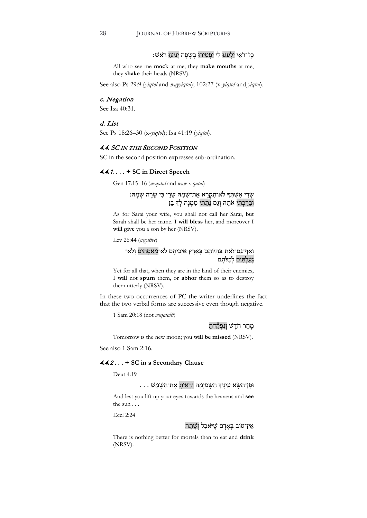# כָּ ל־רֹאַ י יַלְ עִ גוּ לִ י יַפְ טִ ירוּ בְ שָׂ פָ ה יָנִיעוּ ר ֹאשׁ׃

All who see me **mock** at me; they **make mouths** at me, they **shake** their heads (NRSV).

See also Ps 29:9 (*yiqtol* and *wayyiqtol*); 102:27 (x-*yiqtol* and *yiqtol*).

#### c. Negation

See Isa 40:31.

### d. List

See Ps 18:26–30 (x-*yiqtol*); Isa 41:19 (*yiqtol*).

#### 4.4. SC IN THE SECOND POSITION

SC in the second position expresses sub-ordination.

## 4.4.1. **. . . + SC in Direct Speech**

Gen 17:15–16 (*weqatal* and *waw-*x*-qatal*)

# שָׂרַי אִשְׁתְּךָ לֹא־תִקְרָא אֶת־שְׁמָהּ שָׂרָי כִּי שָׂרָה שְׁמָהּ: וּבֵרַכְתִּי אֹתָהּ וְגַם נָתַתִּי מִמֶּנָּה לְךָ בֵּן

As for Sarai your wife, you shall not call her Sarai, but Sarah shall be her name. I **will bless** her, and moreover I **will give** you a son by her (NRSV).

Lev 26:44 (*negative*)

## וְאַף־גַּם־זאת בִּהְיוֹתָם בְּאֶרֶץ אֹיְבֵיהֶם לֹא־מְאַסְתִּים וְלֹא־ גְעַלְתִּים לְכַלּתָם

Yet for all that, when they are in the land of their enemies, I **will** not **spurn** them, or **abhor** them so as to destroy them utterly (NRSV).

In these two occurrences of PC the writer underlines the fact that the two verbal forms are successive even though negative.

1 Sam 20:18 (not *weqataltí*)

## מָחָר חֹדֵשׁ וְנִפְקַדְתָּ

Tomorrow is the new moon; you **will be missed** (NRSV).

See also 1 Sam 2:16.

#### 4.4.2 **. . . + SC in a Secondary Clause**

Deut 4:19

#### . . . וּפֵן־תִּשָּׂא עֵינֵיךְ הַשָּׁמַיִמָה וְרָאִיתָ אֵת־הַשֵּׁמֵשׁ

And lest you lift up your eyes towards the heavens and **see** the sun . . .

Eccl 2:24

#### אֵ ין־טוֹב בָּ אָ דָ ם שֶׁ יּ ֹאכַ ל וְ שָׁ תָ ה

There is nothing better for mortals than to eat and **drink** (NRSV).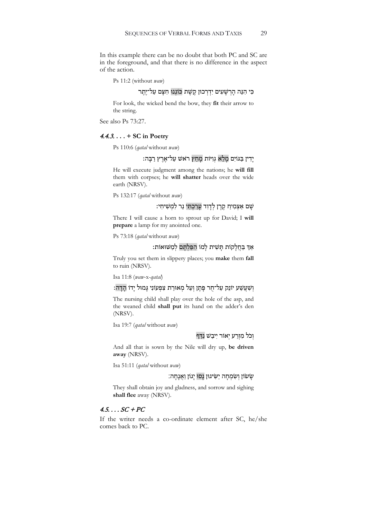In this example there can be no doubt that both PC and SC are in the foreground, and that there is no difference in the aspect of the action.

Ps 11:2 (without *waw*)

# כִּי הִנֵּה הַרִשָּׁעִים יִדְרְכוּן קֵשֶׁת כּוֹנְנוּ חִצָּם עַל־יֶתֱר

For look, the wicked bend the bow, they **fit** their arrow to the string.

See also Ps 73:27.

#### 4.4.3. **. . . + SC in Poetry**

Ps 110:6 (*qatal* without *waw*)

# יִדִין בַּגּוֹיִם מַלֵא גִוְיּוֹת מַחַץ רֹאַשׁ עַל־אֶרֶץ רַבֵּה:

He will execute judgment among the nations; he **will fill** them with corpses; he **will shatter** heads over the wide earth (NRSV).

Ps 132:17 (*qatal* without *waw*)

# שִׁם אַצְמִיחַ קֶרֶן לְדָוִד עַרכְתִּי נֵר לְמִשִׁיחָי:

There I will cause a horn to sprout up for David; I **will prepare** a lamp for my anointed one.

Ps 73:18 (*qatal* without *waw*)

אַד בַּחֲלָקוֹת תַּשִׁית לָמוֹ הִפַּלְתַּם לְמַשּׁוּאוֹת:

Truly you set them in slippery places; you **make** them **fall** to ruin (NRSV).

Isa 11:8 (*waw*-x-*qatal*)

# וְשְׁעֲשֵׁע יוֹנֵק עַל־חֶר פַּתֵן וְעַל מְאוּרַת צִפְעוֹנִי גַּמוּל יַדוֹ הדה:

The nursing child shall play over the hole of the asp, and the weaned child **shall put** its hand on the adder's den (NRSV).

Isa 19:7 (*qatal* without *waw*)

# וְכֹל מִזְרַע יְאוֹר יִיבַשׁ נִדִּף

And all that is sown by the Nile will dry up, **be driven away** (NRSV).

Isa 51:11 (*qatal* without *waw*)

#### שִׂ שִׂ וְ שִׂ מְחָה יַשִׂיגוּן נַסוּ יְגוֹן וַ אֲנַחָה

They shall obtain joy and gladness, and sorrow and sighing **shall flee** away (NRSV).

# $4.5. \ldots SC + PC$

If the writer needs a co-ordinate element after SC, he/she comes back to PC.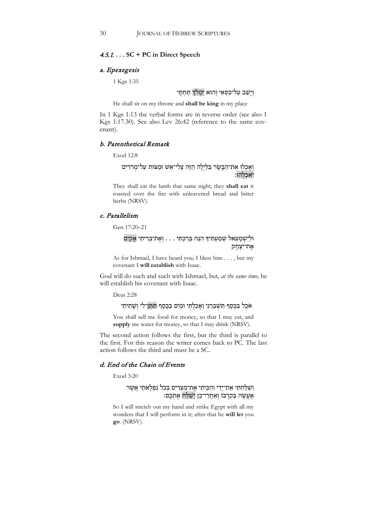# 4.5.1. **. . . SC + PC in Direct Speech**

#### a. Epexegesis

1 Kgs 1:35

וְיָשָׁב עַל־כִּסְאִי וְהוּא יִמְלֹךְ תַּחְתֵּי

He shall sit on my throne and **shall be king** in my place

In 1 Kgs 1:13 the verbal forms are in reverse order (see also 1 Kgs 1:17.30). See also Lev 26:42 (reference to the same covenant).

#### b. Parenthetical Remark

Exod 12:8

וְאָכְלוּ אֶת־הַבְּשָׂר בַּלַיְלָה הַזֶּה צְלִי־אֵשׁ וּמַצּוֹת עַל־מְרֹרִים יֹאכְלֻהוּ:

They shall eat the lamb that same night; they **shall eat** it roasted over the fire with unleavened bread and bitter herbs (NRSV).

#### c. Parallelism

Gen 17:20–21

# וּלְ יִשְׁ מָ עֵ אל שְׁ מַ עְ תִּ י� הִ נֵּ ה בֵּ רַ כְ תִּ י . . . וְ אֶ ת־בְּ רִ יתִ י אָ קִ ים אֶת־יִצְחָק

As for Ishmael, I have heard you; I bless him . . . , but my covenant I **will establish** with Isaac.

God will do such and such with Ishmael, but, *at the same time,* he will establish his covenant with Isaac.

Deut 2:28

אֹכֵל בַּכֵּסֶף תַּשְׁבְרֵנִי וְאָכַלְתִּי וּמַיִם בַּכֵּסֶף תִּתֵּן־לִי וְשָׁתִיתִי

You shall sell me food for money, so that I may eat, and **supply** me water for money, so that I may drink (NRSV).

The second action follows the first, but the third is parallel to the first. For this reason the writer comes back to PC. The last action follows the third and must be a SC.

## d. End of the Chain of Events

Exod 3:20

## וְשָׁלַחְתִּי אֶת־יָדִי וְהִכֵּיתִי אֶת־מִצְרַיִם בְּכֹל נִפְלְאֹתַי אֲשֶׁר אֶעֱשֶׂה בְּקִרְבּוֹ וְאַחֲרֵי־כֵן וְשַׁלַּח אֶתְכֶם:

So I will stretch out my hand and strike Egypt with all my wonders that I will perform in it; after that he **will let** you **go**. (NRSV).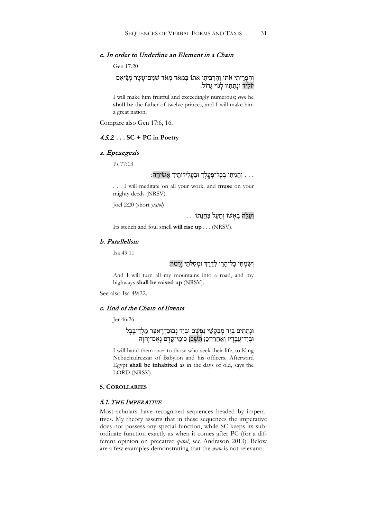#### e. In order to Underline an Element in a Chain

#### Gen 17:20

וְהִפְרֵיתִי אֹתוֹ וְהִרְבֵּיתִי אֹתוֹ בִּמְאֹד מְאֹד שְׁנֵים־עָשָׂר נְשִׂיאִם יוֹלִיד וּנִתְתִּיו לְגוֹי גִּדוֹל:

I will make him fruitful and exceedingly numerous; *even* he **shall be** the father of twelve princes, and I will make him a great nation.

Compare also Gen 17:6, 16.

## 4.5.2. **. . . SC + PC in Poetry**

# a. Epexegesis

Ps 77:13

# . . . וְהָגִיתִי בְכָל־פַּעֲלֶךְ וּבַעֲלִילוֹתֵיךְ אֲשִׂיחָה:

. . . I will meditate on all your work, and **muse** on your mighty deeds (NRSV).

Joel 2:20 (short *yiqtol*)

וְ עָ לָ ה בָ אְ שׁוֹ וְ תַ עַ ל צַ חֲ נָ תוֹ . . .

Its stench and foul smell **will rise up** . . . (NRSV).

# b. Parallelism

Isa 49:11

# וְשַׂמְתִּי כָל־הָרֵי לַדָּרֶךְ וּמִסְלֹתֲי יְרָמוּן:

And I will turn all my mountains into a road, and my highways **shall be raised up** (NRSV).

See also Isa 49:22.

#### c. End of the Chain of Events

Jer 46:26

## וּנִתַתִּים בִּיַד מִבַקִשֵׁי נַפְ<u>שָׁם וּבִי</u>ד נִבוּכַדְרֵאצַר מֵלֵדְ־בָּבֶל וּבְיַד־עֲבָדָיו וְאַחֲרֵי־כֵן תִּשְׁכֹּן כִּימֵי־קֶדֶם נְאֻם־יְהוָה

I will hand them over to those who seek their life, to King Nebuchadrezzar of Babylon and his officers. Afterward Egypt **shall be inhabited** as in the days of old, says the LORD (NRSV).

# **5. COROLLARIES**

#### 5.1. THE IMPERATIVE

Most scholars have recognized sequences headed by imperatives. My theory asserts that in these sequences the imperative does not possess any special function, while SC keeps its subordinate function exactly as when it comes after PC (for a different opinion on precative *qatal*, see Andrason 2013). Below are a few examples demonstrating that the *waw* is not relevant: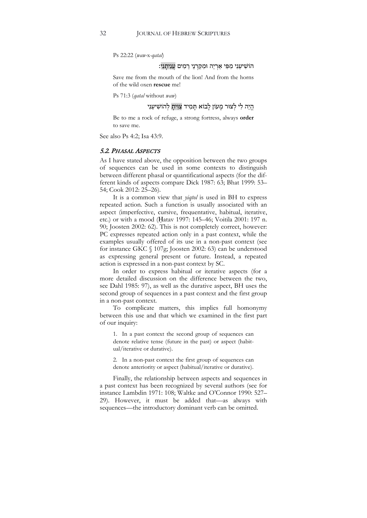Ps 22:22 (*waw-*x*-qatal*)

#### הוֹשִׁיעֵנִי מִפִּי אַרְיֵה וּמִקַרְנֵי רֵמִים עֲנִיתַנִי:

Save me from the mouth of the lion! And from the horns of the wild oxen **rescue** me!

Ps 71:3 (*qatal* without *waw*)

הֱיֵה לִי לִצּוּר מַעוֹן לַבוֹא תַּמְיד צִוְּיתַ לְהוֹשִׁיעֵנְי

Be to me a rock of refuge, a strong fortress, always **order** to save me.

See also Ps 4:2; Isa 43:9.

## 5.2. PHASAL ASPECTS

As I have stated above, the opposition between the two groups of sequences can be used in some contexts to distinguish between different phasal or quantificational aspects (for the different kinds of aspects compare Dick 1987: 63; Bhat 1999: 53– 54; Cook 2012: 25–26).

It is a common view that *yiqtol* is used in BH to express repeated action. Such a function is usually associated with an aspect (imperfective, cursive, frequentative, habitual, iterative, etc.) or with a mood (Ḥatav 1997: 145–46; Voitila 2001: 197 n. 90; Joosten 2002: 62). This is not completely correct, however: PC expresses repeated action only in a past context, while the examples usually offered of its use in a non-past context (see for instance GKC § 107g; Joosten 2002: 63) can be understood as expressing general present or future. Instead, a repeated action is expressed in a non-past context by SC.

In order to express habitual or iterative aspects (for a more detailed discussion on the difference between the two, see Dahl 1985: 97), as well as the durative aspect, BH uses the second group of sequences in a past context and the first group in a non-past context.

To complicate matters, this implies full homonymy between this use and that which we examined in the first part of our inquiry:

1. In a past context the second group of sequences can denote relative tense (future in the past) or aspect (habitual/iterative or durative).

2. In a non-past context the first group of sequences can denote anteriority or aspect (habitual/iterative or durative).

Finally, the relationship between aspects and sequences in a past context has been recognized by several authors (see for instance Lambdin 1971: 108; Waltke and O'Connor 1990: 527– 29). However, it must be added that—as always with sequences—the introductory dominant verb can be omitted.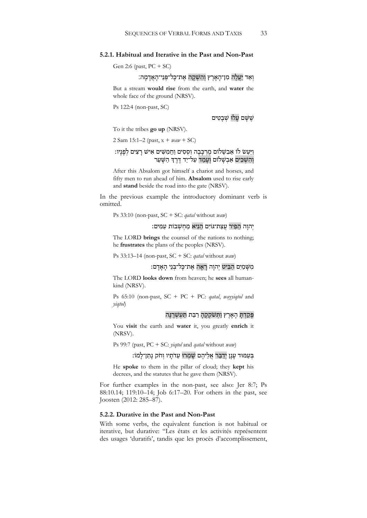#### **5.2.1. Habitual and Iterative in the Past and Non-Past**

Gen 2:6 (past, PC + SC)

וְאֵד יַעֲלֶה מִן־הָאָרֵץ וְהִשְׁקָה אֶת־כַּל־פְּנֵי־הָאֲדָמָה:

But a stream **would rise** from the earth, and **water** the whole face of the ground (NRSV).

Ps 122:4 (non-past, SC)

שֵׁ שַׁבָטִים עַלוּ שָׁבַטִים

To it the tribes **go up** (NRSV).

2 Sam 15:1–2 (past, x + *waw* + SC)

## וַיַּעַשׂ לוֹ אַבְשָׁלוֹם מֶרְכָּבָה וְסֻסִים וַחֲמִשִּׁים אִישׁ רָצִים לְפָּנְיו: וְהִשְׁכִּים אַבְשָׁלוֹם וְעָמַד עַל־יַד דֶּרֶדְ הַשָּׁעַר

After this Absalom got himself a chariot and horses, and fifty men to run ahead of him. **Absalom** used to rise early and **stand** beside the road into the gate (NRSV).

In the previous example the introductory dominant verb is omitted.

Ps 33:10 (non-past, SC + SC: *qatal* without *waw*)

#### יְהוַה הֵפִיר עֲצַת־גּוֹיִם הֲנִיא מַחְשָׁבוֹת עַמִּים:

The LORD **brings** the counsel of the nations to nothing; he **frustrates** the plans of the peoples (NRSV).

Ps 33:13–14 (non-past, SC + SC: *qatal* without *waw*)

# מִשָּׁמַיִם הָבִּיט יְהוָה רָאָה אֶת־כַּל־בְּנֵי הָאָדָם:

The LORD **looks down** from heaven; he **sees** all humankind (NRSV).

Ps 65:10 (non-past, SC + PC + PC: *qatal*, *wayyiqtol* and *yiqtol*)

פִּקָדָת הָאָרֶץ וַתְּשֹׁקְקֶה רַבֵּת תַּעֲשֶׁרֵנֵה

You **visit** the earth and **water** it, you greatly **enrich** it (NRSV).

Ps 99:7 (past, PC + SC: *yiqtol* and *qatal* without *waw*)

# בְּעַמּוּד עָנָן יְדַבֵּר אֲלֵיהֵם שָׁמִרוּ עֵדֹתָיו וְחֹק נַתַן־לַמוֹ:

He **spoke** to them in the pillar of cloud; they **kept** his decrees, and the statutes that he gave them (NRSV).

For further examples in the non-past, see also: Jer 8:7; Ps 88:10.14; 119:10–14; Job 6:17–20. For others in the past, see Joosten (2012: 285–87).

#### **5.2.2. Durative in the Past and Non-Past**

With some verbs, the equivalent function is not habitual or iterative, but durative: "Les états et les activités représentent des usages 'duratifs', tandis que les procès d'accomplissement,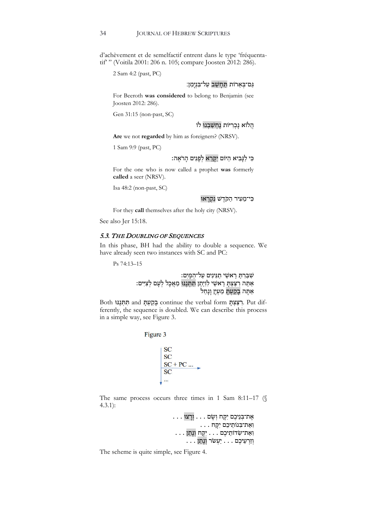d'achèvement et de semelfactif entrent dans le type 'fréquentatif' " (Voitila 2001: 206 n. 105; compare Joosten 2012: 286).

2 Sam 4:2 (past, PC)

# גִם־בִּאֲרוֹת תִּחְשַׁב עַל־בִּנִימִן:

For Beeroth **was considered** to belong to Benjamin (see Joosten 2012: 286).

Gen 31:15 (non-past, SC)

#### הֲלוֹא נַכְרִיּוֹת נֵחְשַׁבְנוּ לוֹ

**Are** we not **regarded** by him as foreigners? (NRSV).

1 Sam 9:9 (past, PC)

# כִּי לַנַּבִיא הַיּוֹם יִקָּרֵא לְפָנִים הַרֹאֵה:

For the one who is now called a prophet **was** formerly **called** a seer (NRSV).

Isa 48:2 (non-past, SC)

### כִּי־מֵעִיר הַקֹּדֵשׁ נִקְרָאוּ

For they **call** themselves after the holy city (NRSV).

See also Jer 15:18.

## 5.3. THE DOUBLING OF SEQUENCES

In this phase, BH had the ability to double a sequence. We have already seen two instances with SC and PC:

Ps 74:13–15

שִׁבַּרְתָּ רָאשֵׁי תַגִּינִים עַל־<u>הַמָּיִם:</u> אַתָּה רַצַּצְתָּ רָאשֵׁי לִוְיָתָן תִּתְּנֶנּוּ מַאֲכָל לְעָם לְצִיִּים: אַתָּה בָקַעְתָּ מַעְיָן וָנָחַל

Both נּוּ ֶנ ְתּ ִתּ and ָתּ ְע ַק ָב continue the verbal form ָתּ ְצ ַצּ ִר. Put differently, the sequence is doubled. We can describe this process in a simple way, see Figure 3.

Figure 3



The same process occurs three times in 1 Sam 8:11–17 (§ 4.3.1):

> אֶ ת־בְּ נֵיכֶ ם יִקָּ ח וְ שָׂ ם . . . וְ רָ צוּ . . . וְ אֶ ת־בְּ נוֹתֵ יכֶ ם יִקָּ ח . . . וְ אֶת־שָׂדוֹתֵיכֶם . . . <u>יִקְּח וְנָת</u>ן . . . . . . יַעְשׂר וְנָתַן . . . . יַעֲ ש

The scheme is quite simple, see Figure 4.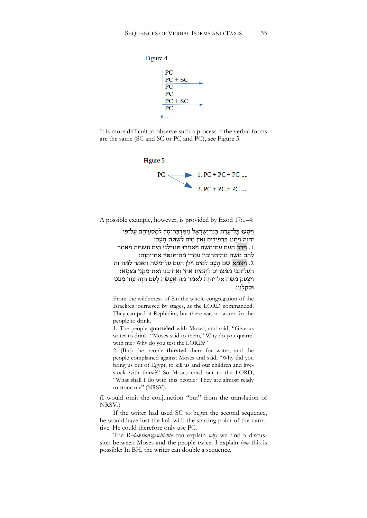

It is more difficult to observe such a process if the verbal forms are the same (SC and SC or PC and PC), see Figure 5.



A possible example, however, is provided by Exod 17:1–4:

וַיִּסְעוּ כָּל־עֲדַת בִּנֵי־יִשְׂרָאֵל מִמְּדִבַּר־סִין לְמַסְעֵיהֶם עַל־פִּי יִהוֹה ויִחְנוּ בִּרְפִידִים וֹאִין מִים לִשְׁתַּת הִעָם: וַ וַיִּרֶב הַעֲם עִם־מֹשֶׁה וַיּאמִרוּ תְּנוּ־לָנוּ מַיִם וְנִשְׁתֵּה וַיּּאמֵר  $\cdot$ לָהֶם מֹשֶׁה מַה־תְּרִיבוּן עִמַּדִי מַה־תְּנַסּוּן אֱת־יְהוַה: .2 וַיִּצְמָא שָׁם הָעָם לַמַּיִם וַיַּלֵן הָעָם עַל־מֹשֶׁה וַיּאמֶר לָמָּה זֶה הֶ עֵלְיתָנוּ מִמִּצְרַיִם לְהָמִית אֹתִי וְאֵת־בָּנֵי וְאֵת־מִקְנַי בַּצָּמָא: וַיִּצְעַק מֹשֶׁה אֵל־יִהוַה לֵאמֹר מַה אֶעֱשֶׂה לָעָם הַזֶּה עוֹד מְעַט וּסקלני:

From the wilderness of Sin the whole congregation of the Israelites journeyed by stages, as the LORD commanded. They camped at Rephidim, but there was no water for the people to drink.

1. The people **quarreled** with Moses, and said, "Give us water to drink. "Moses said to them," Why do you quarrel with me? Why do you test the LORD?"

2. (But) the people **thirsted** there for water; and the people complained against Moses and said, "Why did you bring us out of Egypt, to kill us and our children and livestock with thirst?" So Moses cried out to the LORD, "What shall I do with this people? They are almost ready to stone me" (NRSV).

(I would omit the conjunction "but" from the translation of NRSV.)

If the writer had used SC to begin the second sequence, he would have lost the link with the starting point of the narrative. He could therefore only use PC.

The *Redaktionsgeschichte* can explain *why* we find a discussion between Moses and the people twice. I explain *how* this is possible: In BH, the writer can double a sequence.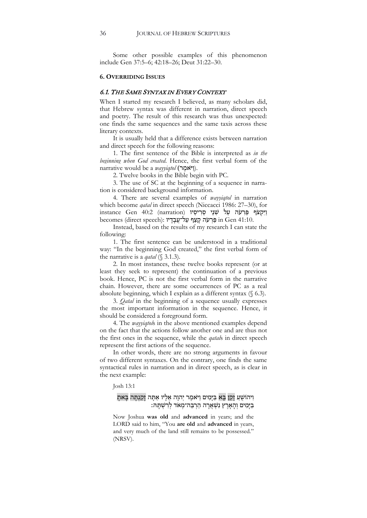Some other possible examples of this phenomenon include Gen 37:5–6; 42:18–26; Deut 31:22–30.

#### **6. OVERRIDING ISSUES**

#### 6.1. THE SAME SYNTAX IN EVERY CONTEXT

When I started my research I believed, as many scholars did, that Hebrew syntax was different in narration, direct speech and poetry. The result of this research was thus unexpected: one finds the same sequences and the same taxis across these literary contexts.

It is usually held that a difference exists between narration and direct speech for the following reasons:

1. The first sentence of the Bible is interpreted as *in the beginning when God created*. Hence, the first verbal form of the narrative would be a *wayyiqtol* (**[יֹאמֵר**].

2. Twelve books in the Bible begin with PC.

3. The use of SC at the beginning of a sequence in narration is considered background information.

4. There are several examples of *wayyiqtol* in narration which become *qatal* in direct speech (Niccacci 1986: 27–30), for instance Gen 40:2 (narration) וַיִּקְצֹף פַּרְעֹה עַל שְׁנֵי סָרִיסָיו becomes (direct speech): פַּרְעֹה קַצַּף עַל־עֲבָדָיו in Gen 41:10.

Instead, based on the results of my research I can state the following:

1. The first sentence can be understood in a traditional way: "In the beginning God created," the first verbal form of the narrative is a *qatal* (§ 3.1.3).

2. In most instances, these twelve books represent (or at least they seek to represent) the continuation of a previous book. Hence, PC is not the first verbal form in the narrative chain. However, there are some occurrences of PC as a real absolute beginning, which I explain as a different syntax (§ 6.3).

3. *Qatal* in the beginning of a sequence usually expresses the most important information in the sequence. Hence, it should be considered a foreground form.

4. The *wayyiqtol*s in the above mentioned examples depend on the fact that the actions follow another one and are thus not the first ones in the sequence, while the *qatal*s in direct speech represent the first actions of the sequence.

In other words, there are no strong arguments in favour of two different syntaxes. On the contrary, one finds the same syntactical rules in narration and in direct speech, as is clear in the next example:

Josh 13:1

# וִיהוֹשָׁעַ וָקֵן בָּאַ בַּיָּמִים וַיּּאמֶר יִהוָה אֵלָיו אַתָּה וָקַנְתָּה בְּאתָ בִיָּמִים וְהָאָרֶץ נִשְׁאֲרָה הַרְבֵּה־מְאֹד לְרִשְׁתָּהּ:

Now Joshua **was old** and **advanced** in years; and the LORD said to him, "You **are old** and **advanced** in years, and very much of the land still remains to be possessed.' (NRSV).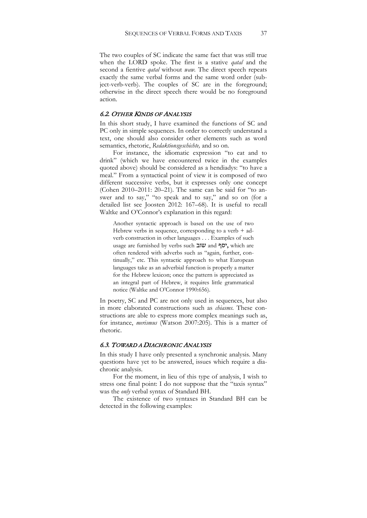The two couples of SC indicate the same fact that was still true when the LORD spoke. The first is a stative *qatal* and the second a fientive *qatal* without *waw.* The direct speech repeats exactly the same verbal forms and the same word order (subject-verb-verb). The couples of SC are in the foreground; otherwise in the direct speech there would be no foreground action.

#### 6.2. OTHER KINDS OF ANALYSIS

In this short study, I have examined the functions of SC and PC only in simple sequences. In order to correctly understand a text, one should also consider other elements such as word semantics, rhetoric, *Redaktionsgeschichte,* and so on.

For instance, the idiomatic expression "to eat and to drink" (which we have encountered twice in the examples quoted above) should be considered as a hendiadys: "to have a meal." From a syntactical point of view it is composed of two different successive verbs, but it expresses only one concept (Cohen 2010–2011: 20–21). The same can be said for "to answer and to say," "to speak and to say," and so on (for a detailed list see Joosten 2012: 167–68). It is useful to recall Waltke and O'Connor's explanation in this regard:

Another syntactic approach is based on the use of two Hebrew verbs in sequence, corresponding to a verb  $+$  adverb construction in other languages . . . Examples of such usage are furnished by verbs such שוב and יסף**,** which are often rendered with adverbs such as "again, further, continually," etc. This syntactic approach to what European languages take as an adverbial function is properly a matter for the Hebrew lexicon; once the pattern is appreciated as an integral part of Hebrew, it requires little grammatical notice (Waltke and O'Connor 1990:656).

In poetry, SC and PC are not only used in sequences, but also in more elaborated constructions such as *chiasms.* These constructions are able to express more complex meanings such as, for instance, *merismus* (Watson 2007:205). This is a matter of rhetoric.

#### 6.3. TOWARD A DIACHRONIC ANALYSIS

In this study I have only presented a synchronic analysis. Many questions have yet to be answered, issues which require a diachronic analysis.

For the moment, in lieu of this type of analysis, I wish to stress one final point: I do not suppose that the "taxis syntax" was the *only* verbal syntax of Standard BH.

The existence of two syntaxes in Standard BH can be detected in the following examples: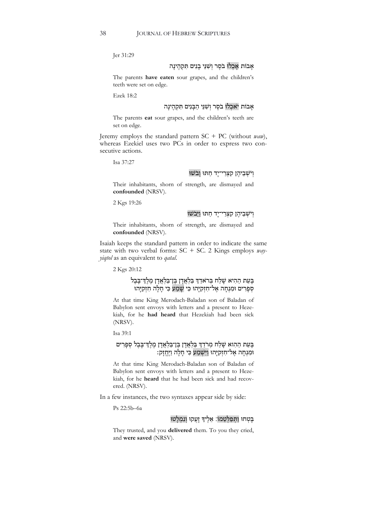Jer 31:29

# אָבוֹת אָכְלוּ בֹסֶר וְשָׁנֵּי בָנִים תִּקְהֵינַה

The parents **have eaten** sour grapes, and the children's teeth were set on edge.

Ezek 18:2

# אָבוֹת יֹאכְלוּ בֹסֶר וְשָׁנֵּי הַבְּנִים תִּקְהֵינַה

The parents **eat** sour grapes, and the children's teeth are set on edge.

Jeremy employs the standard pattern SC + PC (without *waw*), whereas Ezekiel uses two PCs in order to express two consecutive actions.

Isa 37:27

# וְיֹשָׁבֵיהֵן קִצְרֵי־יָד חַתּוּ וָבֹשׁוּ

Their inhabitants, shorn of strength, are dismayed and **confounded** (NRSV).

2 Kgs 19:26

# וְיֹשָׁבֵיהֵן קִצְרֵי־יָד חַתּוּ וַיֵּבֹשׁוּ

Their inhabitants, shorn of strength, are dismayed and **confounded** (NRSV).

Isaiah keeps the standard pattern in order to indicate the same state with two verbal forms: SC + SC. 2 Kings employs *wayyiqtol* as an equivalent to *qatal*.

2 Kgs 20:12

# בָּעֵת הַהִיא שָׁלַח בְּראַדַדְ בַּלְאֲדָן בֵּן־בַּלְאֲדָן מֶלֶדְ־בַּבֶל סְפָרִים וּמִנְחָה אֱל־חִזְקִיַּהוּ כִּי שָׁמַע כִּי חַלָּה חִזְקִיַּהוּ

At that time King Merodach-Baladan son of Baladan of Babylon sent envoys with letters and a present to Hezekiah, for he **had heard** that Hezekiah had been sick (NRSV).

Isa 39:1

## בָּעֵת הַהִוא שָׁלַח מִר<u>ֹדַדְ בַּלְאֲדָן</u> בֵּו־בַּלְאֲדָן מֶלֶדְ־בָּבֶל סְפָרִים וּמִנְחָה אֶל־חִזְקִיָּהוּ וַיִּשְׁמַע כִּי חָלָה וַיֶּחֱזָק**:**

At that time King Merodach-Baladan son of Baladan of Babylon sent envoys with letters and a present to Hezekiah, for he **heard** that he had been sick and had recovered. (NRSV).

In a few instances, the two syntaxes appear side by side:

Ps 22:5b–6a

# בִּטְחוּ וַתְּפַלְּטֶמוֹ: אֶלֶיךָ זִעֲקוּ וְנִמְלָטוּ

They trusted, and you **delivered** them. To you they cried, and **were saved** (NRSV).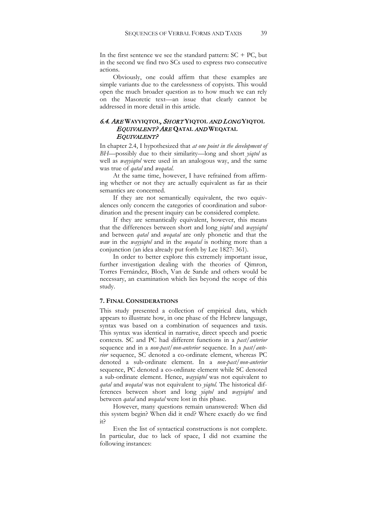In the first sentence we see the standard pattern:  $SC + PC$ , but in the second we find two SCs used to express two consecutive actions.

Obviously, one could affirm that these examples are simple variants due to the carelessness of copyists. This would open the much broader question as to how much we can rely on the Masoretic text—an issue that clearly cannot be addressed in more detail in this article.

#### 6.4. ARE **WAYYIQTOL**, SHORT **YIQTOL** AND LONG **YIQTOL** EQUIVALENT? ARE **QATAL** AND **WEQATAL** EQUIVALENT?

In chapter 2.4, I hypothesized that *at one point in the development of BH*—possibly due to their similarity—long and short *yiqtol* as well as *wayyiqtol* were used in an analogous way, and the same was true of *qatal* and *weqatal*.

At the same time, however, I have refrained from affirming whether or not they are actually equivalent as far as their semantics are concerned.

If they are not semantically equivalent, the two equivalences only concern the categories of coordination and subordination and the present inquiry can be considered complete.

If they are semantically equivalent, however, this means that the differences between short and long *yiqtol* and *wayyiqtol*  and between *qatal* and *weqatal* are only phonetic and that the *waw* in the *wayyiqtol* and in the *weqatal* is nothing more than a conjunction (an idea already put forth by Lee 1827: 361).

In order to better explore this extremely important issue, further investigation dealing with the theories of Qimron, Torres Fernández, Bloch, Van de Sande and others would be necessary, an examination which lies beyond the scope of this study.

#### **7. FINAL CONSIDERATIONS**

This study presented a collection of empirical data, which appears to illustrate how, in one phase of the Hebrew language, syntax was based on a combination of sequences and taxis*.* This syntax was identical in narrative, direct speech and poetic contexts. SC and PC had different functions in a *past/anterior* sequence and in a *non-past/non-anterior* sequence. In a *past/anterior* sequence, SC denoted a co-ordinate element, whereas PC denoted a sub-ordinate element. In a *non-past/non-anterior* sequence, PC denoted a co-ordinate element while SC denoted a sub-ordinate element. Hence, *wayyiqtol* was not equivalent to *qatal* and *weqatal* was not equivalent to *yiqtol.* The historical differences between short and long *yiqtol* and *wayyiqtol* and between *qatal* and *weqatal* were lost in this phase.

However, many questions remain unanswered: When did this system begin? When did it end? Where exactly do we find it?

Even the list of syntactical constructions is not complete. In particular, due to lack of space, I did not examine the following instances: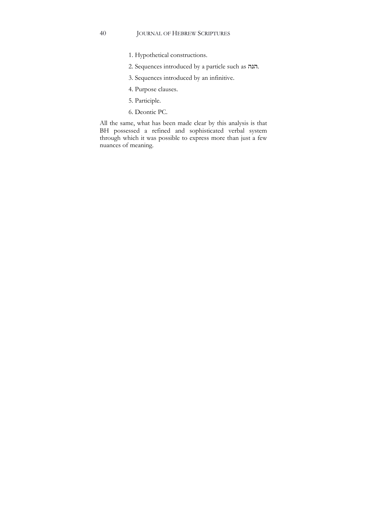- 1. Hypothetical constructions.
- 2. Sequences introduced by a particle such as הנה.
- 3. Sequences introduced by an infinitive.
- 4. Purpose clauses.
- 5. Participle.
- 6. Deontic PC.

All the same, what has been made clear by this analysis is that BH possessed a refined and sophisticated verbal system through which it was possible to express more than just a few nuances of meaning.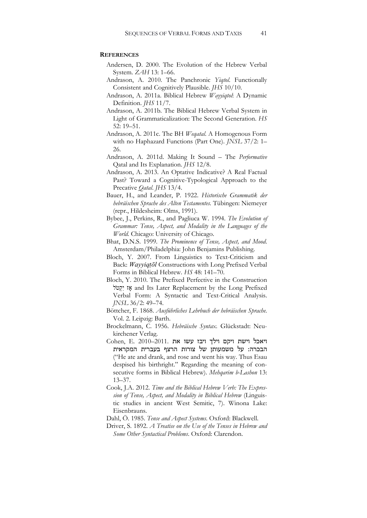#### **REFERENCES**

- Andersen, D. 2000. The Evolution of the Hebrew Verbal System. *ZAH* 13: 1–66.
- Andrason, A. 2010. The Panchronic *Yiqtol*. Functionally Consistent and Cognitively Plausible. *JHS* 10/10.
- Andrason, A. 2011a. Biblical Hebrew *Wayyiqtol*: A Dynamic Definition. *JHS* 11/7.
- Andrason, A. 2011b. The Biblical Hebrew Verbal System in Light of Grammaticalization: The Second Generation. *HS* 52: 19–51.
- Andrason, A. 2011c. The BH *Weqatal*. A Homogenous Form with no Haphazard Functions (Part One). *JNSL* 37/2: 1– 26.
- Andrason, A. 2011d. Making It Sound The *Performative* Qatal and Its Explanation. *JHS* 12/8.
- Andrason, A. 2013. An Optative Indicative? A Real Factual Past? Toward a Cognitive-Typological Approach to the Precative *Qatal*. *JHS* 13/4.
- Bauer, H., and Leander, P. 1922. *Historische Grammatik der hebräischen Sprache des Alten Testamentes.* Tübingen: Niemeyer (repr., Hildesheim: Olms, 1991).
- Bybee, J., Perkins, R., and Pagliuca W. 1994. *The Evolution of Grammar: Tense, Aspect, and Modality in the Languages of the World*. Chicago: University of Chicago.
- Bhat, D.N.S. 1999. *The Prominence of Tense, Aspect, and Mood*. Amsterdam/Philadelphia: John Benjamins Publishing.
- Bloch, Y. 2007. From Linguistics to Text-Criticism and Back: *Wayyiqṭōl* Constructions with Long Prefixed Verbal Forms in Biblical Hebrew. *HS* 48: 141–70.
- Bloch, Y. 2010. The Prefixed Perfective in the Construction לֹ טְקִי אָז and Its Later Replacement by the Long Prefixed Verbal Form: A Syntactic and Text-Critical Analysis. *JNSL* 36/2: 49–74.
- Böttcher, F. 1868. *Ausführliches Lehrbuch der hebräischen Sprache*. Vol. 2. Leipzig: Barth.
- Brockelmann, C. 1956. *Hebräische Syntax.* Glückstadt: Neukirchener Verlag.
- ויאכל וישת ויקם וילך ויבז עשו את 2011.–2010 .E ,Cohen הבכרה: על משמעותן של צורות הרצף בעברית המקראית ("He ate and drank, and rose and went his way. Thus Esau despised his birthright." Regarding the meaning of consecutive forms in Biblical Hebrew). *Mehqarim b-Lashon* 13: 13–37.
- Cook, J.A. 2012. *Time and the Biblical Hebrew Verb: The Expression of Tense, Aspect, and Modality in Biblical Hebrew* (Linguistic studies in ancient West Semitic, 7). Winona Lake: Eisenbrauns.
- Dahl, Ö. 1985. *Tense and Aspect Systems*. Oxford: Blackwell.
- Driver, S. 1892. *A Treatise on the Use of the Tenses in Hebrew and Some Other Syntactical Problems*. Oxford: Clarendon.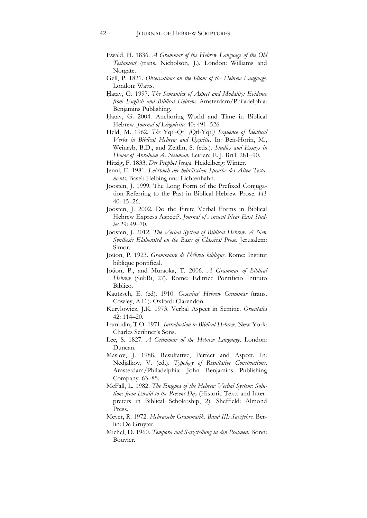- Ewald, H. 1836. *A Grammar of the Hebrew Language of the Old Testament* (trans. Nicholson, J.). London: Williams and Norgate.
- Gell, P. 1821. *Observations on the Idiom of the Hebrew Language.*  London: Watts.
- Ḥatav, G. 1997. *The Semantics of Aspect and Modality: Evidence from English and Biblical Hebrew*. Amsterdam/Philadelphia: Benjamins Publishing.
- Ḥatav, G. 2004. Anchoring World and Time in Biblical Hebrew. *Journal of Linguistics* 40: 491–526.
- Held, M. 1962. *The* Yqtl-Qtl *(*Qtl-Yqtl*) Sequence of Identical Verbs in Biblical Hebrew and Ugaritic*. In: Ben-Horin, M., Weinryb, B.D., and Zeitlin, S. (eds.)*. Studies and Essays in Honor of Abraham A. Neuman.* Leiden: E. J. Brill. 281–90.
- Hitzig, F. 1833. *Der Prophet Jesaja*. Heidelberg: Winter.
- Jenni, E. 1981. *Lehrbuch der hebräischen Sprache des Alten Testaments.* Basel: Helbing und Lichtenhahn.
- Joosten, J. 1999. The Long Form of the Prefixed Conjugation Referring to the Past in Biblical Hebrew Prose*. HS* 40: 15–26.
- Joosten, J. 2002. Do the Finite Verbal Forms in Biblical Hebrew Express Aspect?. *Journal of Ancient Near East Studies* 29: 49–70.
- Joosten, J. 2012. *The Verbal System of Biblical Hebrew. A New Synthesis Elaborated on the Basis of Classical Prose*. Jerusalem: Simor.
- Joüon, P. 1923. *Grammaire de l'hébreu biblique*. Rome: Institut biblique pontifical.
- Joüon, P., and Muraoka, T. 2006. *A Grammar of Biblical Hebrew* (SubBi, 27). Rome: Editrice Pontificio Intituto Biblico.
- Kautzsch, E. (ed). 1910. *Gesenius' Hebrew Grammar* (trans. Cowley, A.E.). Oxford: Clarendon.
- Kuryłowicz, J.K. 1973. Verbal Aspect in Semitic. *Orientalia* 42: 114–20.
- Lambdin, T.O. 1971. *Introduction to Biblical Hebrew*. New York: Charles Scribner's Sons.
- Lee, S. 1827. *A Grammar of the Hebrew Language*. London: Duncan.
- Maslov, J. 1988. Resultative, Perfect and Aspect. In: Nedjalkov, V. (ed.). *Typology of Resultative Constructions*. Amsterdam/Philadelphia: John Benjamins Publishing Company. 63–85.
- McFall, L. 1982. *The Enigma of the Hebrew Verbal System: Solutions from Ewald to the Present Day* (Historic Texts and Interpreters in Biblical Scholarship, 2). Sheffield: Almond Press.
- Meyer, R. 1972. *Hebräische Grammatik. Band III: Satzlehre*. Berlin: De Gruyter.
- Michel, D. 1960. *Tempora und Satzstellung in den Psalmen*. Bonn: Bouvier.